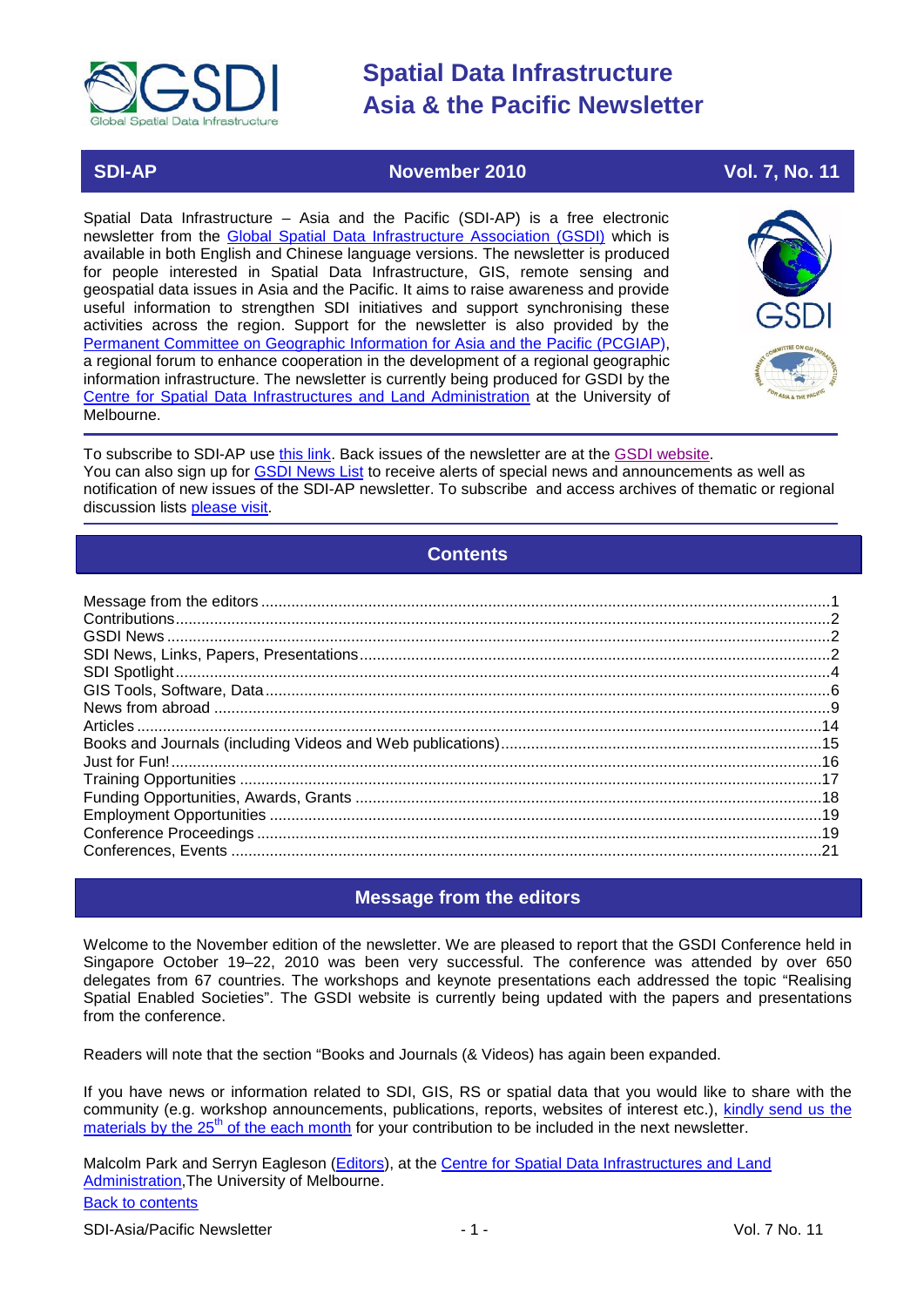

## **SDI-AP November 2010** Vol. 7, No. 11

Spatial Data Infrastructure – Asia and the Pacific (SDI-AP) is a free electronic newsletter from the [Global Spatial Data Infrastructure Association \(GSDI\)](http://www.gsdi.org/) which is available in both English and Chinese language versions. The newsletter is produced for people interested in Spatial Data Infrastructure, GIS, remote sensing and geospatial data issues in Asia and the Pacific. It aims to raise awareness and provide useful information to strengthen SDI initiatives and support synchronising these activities across the region. Support for the newsletter is also provided by the [Permanent Committee on Geographic Information for Asia and the Pacific \(PCGIAP\)](http://www.pcgiap.org/), a regional forum to enhance cooperation in the development of a regional geographic information infrastructure. The newsletter is currently being produced for GSDI by the [Centre for Spatial Data Infrastructures and Land Administration](http://www.csdila.unimelb.edu.au/) at the University of Melbourne.



To subscribe to SDI-AP use [this link.](http://www.gsdi.org/newslist/gsdisubscribe.asp) Back issues of the newsletter are at the [GSDI website.](http://www.gsdi.org/newsletters.asp) You can also sign up for **GSDI News List** to receive alerts of special news and announcements as well as notification of new issues of the SDI-AP newsletter. To subscribe and access archives of thematic or regional discussion lists [please visit.](http://www.gsdi.org/discussionlists.asp)

## **Contents**

<span id="page-0-0"></span>

## **Message from the editors**

<span id="page-0-1"></span>Welcome to the November edition of the newsletter. We are pleased to report that the GSDI Conference held in Singapore October 19–22, 2010 was been very successful. The conference was attended by over 650 delegates from 67 countries. The workshops and keynote presentations each addressed the topic "Realising Spatial Enabled Societies". The GSDI website is currently being updated with the papers and presentations from the conference.

Readers will note that the section "Books and Journals (& Videos) has again been expanded.

If you have news or information related to SDI, GIS, RS or spatial data that you would like to share with the community (e.g. workshop announcements, publications, reports, websites of interest etc.), [kindly send us](mailto:sdi-ap@gsdi.org) the materials by the 25<sup>th</sup> [of the each month](mailto:sdi-ap@gsdi.org) for your contribution to be included in the next newsletter.

[Back to contents](#page-0-0) Malcolm Park and Serryn Eagleson [\(Editors\)](mailto:Editor.SDIAP@gmail.com), at the Centre for Spatial Data Infrastructures and Land [Administration,](http://www.csdila.unimelb.edu.au/)The University of Melbourne.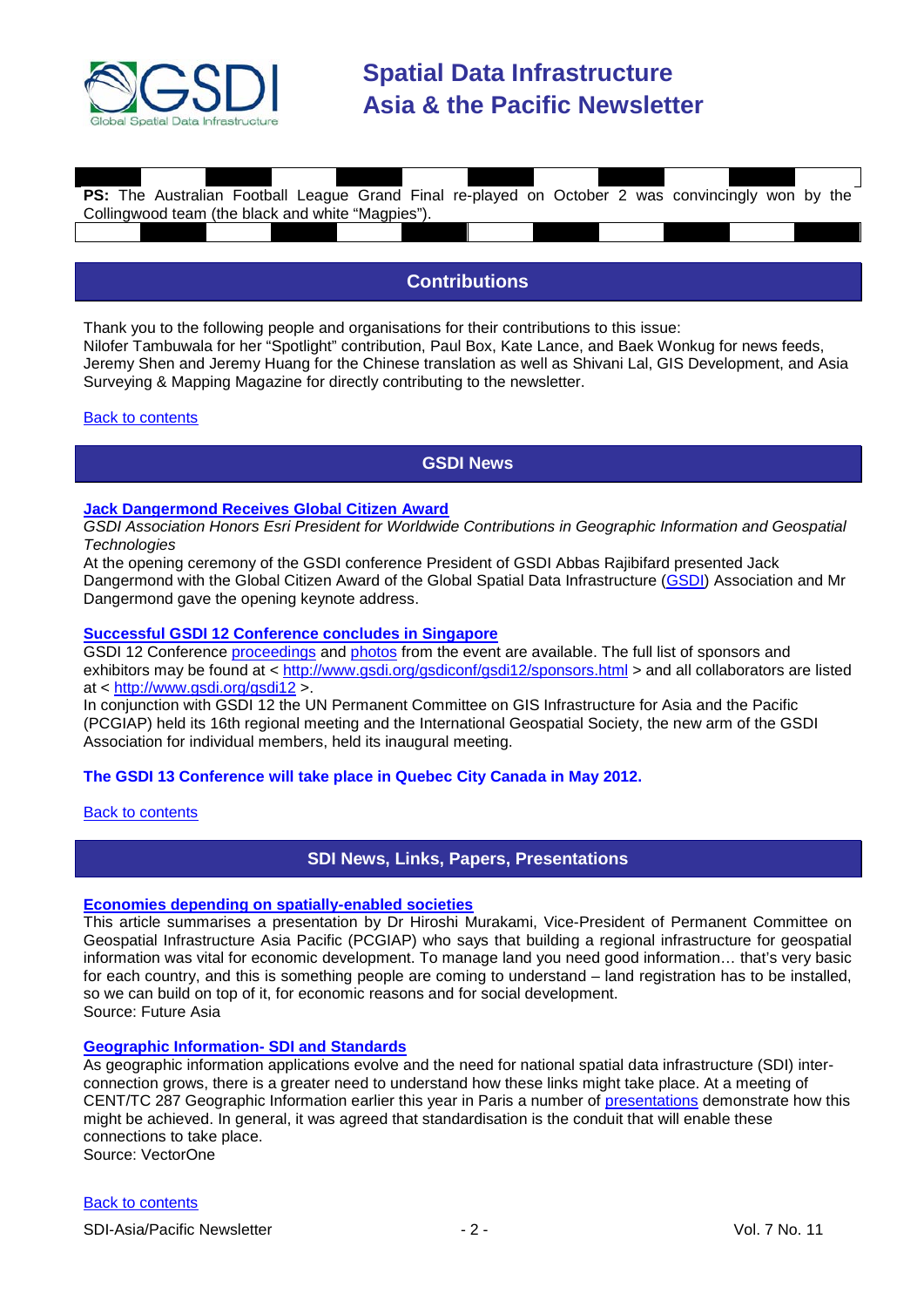

| <b>PS:</b> The Australian Football League Grand Final re-played on October 2 was convincingly won by the |  |  |  |  |  |  |
|----------------------------------------------------------------------------------------------------------|--|--|--|--|--|--|
| Collingwood team (the black and white "Magpies").                                                        |  |  |  |  |  |  |
|                                                                                                          |  |  |  |  |  |  |
|                                                                                                          |  |  |  |  |  |  |
|                                                                                                          |  |  |  |  |  |  |

## **Contributions**

<span id="page-1-0"></span>Thank you to the following people and organisations for their contributions to this issue: Nilofer Tambuwala for her "Spotlight" contribution, Paul Box, Kate Lance, and Baek Wonkug for news feeds, Jeremy Shen and Jeremy Huang for the Chinese translation as well as Shivani Lal, GIS Development, and Asia Surveying & Mapping Magazine for directly contributing to the newsletter.

#### <span id="page-1-1"></span>[Back to contents](#page-0-0)

## **GSDI News**

#### **[Jack Dangermond Receives](http://news.gislounge.com/2010/10/jack-dangermond-to-receive-global-citizen-award/) Global Citizen Award**

*GSDI Association Honors Esri President for Worldwide Contributions in Geographic Information and Geospatial Technologies*

At the opening ceremony of the GSDI conference President of GSDI Abbas Rajibifard presented Jack Dangermond with the Global Citizen Award of the Global Spatial Data Infrastructure [\(GSDI\)](http://www.gsdi.org/) Association and Mr Dangermond gave the opening keynote address.

#### **[Successful GSDI 12 Conference concludes in Singapore](http://www.gsdi.org/node/291)**

GSDI 12 Conference [proceedings](http://www.gsdi.org/gsdiconf/gsdi12/prog_details.html) and [photos](http://gsdi12.multiply.com/) from the event are available. The full list of sponsors and exhibitors may be found at < <http://www.gsdi.org/gsdiconf/gsdi12/sponsors.html> > and all collaborators are listed at < <http://www.gsdi.org/gsdi12> >.

In conjunction with GSDI 12 the UN Permanent Committee on GIS Infrastructure for Asia and the Pacific (PCGIAP) held its 16th regional meeting and the International Geospatial Society, the new arm of the GSDI Association for individual members, held its inaugural meeting.

## **The GSDI 13 Conference will take place in Quebec City Canada in May 2012.**

#### <span id="page-1-2"></span>[Back to contents](#page-0-0)

## **SDI News, Links, Papers, Presentations**

#### **[Economies depending on spatially-enabled societies](http://www.futuregov.asia/articles/2010/oct/22/economies-depending-spatially-enabled-societies/)**

This article summarises a presentation by Dr Hiroshi Murakami, Vice-President of Permanent Committee on Geospatial Infrastructure Asia Pacific (PCGIAP) who says that building a regional infrastructure for geospatial information was vital for economic development. To manage land you need good information… that's very basic for each country, and this is something people are coming to understand – land registration has to be installed, so we can build on top of it, for economic reasons and for social development. Source: Future Asia

#### **[Geographic Information-](http://www.vector1media.com/vectorone/?p=6120) SDI and Standards**

As geographic information applications evolve and the need for national spatial data infrastructure (SDI) interconnection grows, there is a greater need to understand how these links might take place. At a meeting of CENT/TC 287 Geographic Information earlier this year in Paris a number of [presentations](http://www.gistandards.eu/MWS/index.php?option=com_content&view=article&id=55&Itemid=62) demonstrate how this might be achieved. In general, it was agreed that standardisation is the conduit that will enable these connections to take place.

Source: VectorOne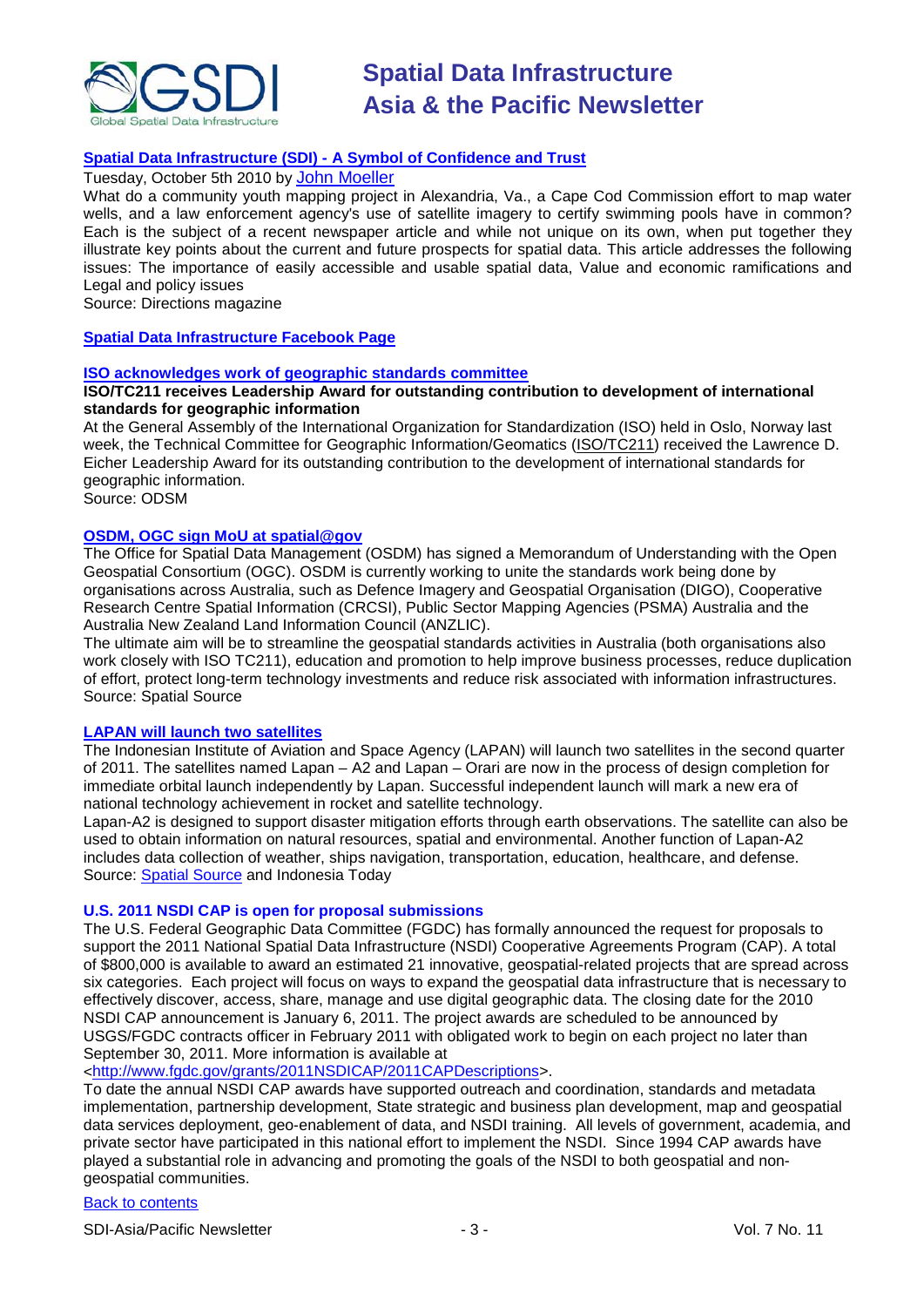

## **Spatial Data Infrastructure (SDI) - [A Symbol of Confidence and Trust](http://www.directionsmag.com/articles/spatial-data-infrastructures-sdis-a-symbol-of-confidence-and-trust/135319)**

#### Tuesday, October 5th 2010 by [John Moeller](http://www.directionsmag.com/authors/john-moeller/122284)

What do a community youth mapping project in Alexandria, Va., a Cape Cod Commission effort to map water wells, and a law enforcement agency's use of satellite imagery to certify swimming pools have in common? Each is the subject of a recent newspaper article and while not unique on its own, when put together they illustrate key points about the current and future prospects for spatial data. This article addresses the following issues: The importance of easily accessible and usable spatial data, Value and economic ramifications and Legal and policy issues

Source: Directions magazine

#### **[Spatial Data Infrastructure Facebook Page](http://ko-kr.beta.facebook.com/pages/Spatial-data-infrastructure/108454335842637)**

#### **[ISO acknowledges work of geographic standards committee](http://www.osdm.gov.au/News/272.aspx)**

#### **ISO/TC211 receives Leadership Award for outstanding contribution to development of international standards for geographic information**

At the General Assembly of the International Organization for Standardization (ISO) held in Oslo, Norway last week, the Technical Committee for Geographic Information/Geomatics [\(ISO/TC211\)](http://www.iso.org/iso/iso_technical_committee?commid=54904) received the Lawrence D. Eicher Leadership Award for its outstanding contribution to the development of international standards for geographic information.

Source: ODSM

#### **[OSDM, OGC sign MoU at spatial@gov](http://www.spatialsource.com.au/2010/10/08/article/OSDM-OGC-sign-MoU-at-spatialgov/USXPJHJOER)**

The Office for Spatial Data Management (OSDM) has signed a Memorandum of Understanding with the Open Geospatial Consortium (OGC). OSDM is currently working to unite the standards work being done by organisations across Australia, such as Defence Imagery and Geospatial Organisation (DIGO), Cooperative Research Centre Spatial Information (CRCSI), Public Sector Mapping Agencies (PSMA) Australia and the Australia New Zealand Land Information Council (ANZLIC).

The ultimate aim will be to streamline the geospatial standards activities in Australia (both organisations also work closely with ISO TC211), education and promotion to help improve business processes, reduce duplication of effort, protect long-term technology investments and reduce risk associated with information infrastructures. Source: Spatial Source

#### **[LAPAN will launch two satellites](http://www.jakartaupdates.com/2010/09/lapan-will-launch-two-satellites)**

The Indonesian Institute of Aviation and Space Agency (LAPAN) will launch two satellites in the second quarter of 2011. The satellites named Lapan – A2 and Lapan – Orari are now in the process of design completion for immediate orbital launch independently by Lapan. Successful independent launch will mark a new era of national technology achievement in rocket and satellite technology.

Lapan-A2 is designed to support disaster mitigation efforts through earth observations. The satellite can also be used to obtain information on natural resources, spatial and environmental. Another function of Lapan-A2 includes data collection of weather, ships navigation, transportation, education, healthcare, and defense. Source: [Spatial Source](http://www.spatialsource.com.au/2010/10/05/article/Indonesia-remote-sensing-satellite-on-track/ALMRKFEHFU) and Indonesia Today

#### **U.S. 2011 NSDI CAP is open for proposal submissions**

The U.S. Federal Geographic Data Committee (FGDC) has formally announced the request for proposals to support the 2011 National Spatial Data Infrastructure (NSDI) Cooperative Agreements Program (CAP). A total of \$800,000 is available to award an estimated 21 innovative, geospatial-related projects that are spread across six categories. Each project will focus on ways to expand the geospatial data infrastructure that is necessary to effectively discover, access, share, manage and use digital geographic data. The closing date for the 2010 NSDI CAP announcement is January 6, 2011. The project awards are scheduled to be announced by USGS/FGDC contracts officer in February 2011 with obligated work to begin on each project no later than September 30, 2011. More information is available at

[<http://www.fgdc.gov/grants/2011NSDICAP/2011CAPDescriptions>](http://www.fgdc.gov/grants/2011NSDICAP/2011CAPDescriptions).

To date the annual NSDI CAP awards have supported outreach and coordination, standards and metadata implementation, partnership development, State strategic and business plan development, map and geospatial data services deployment, geo-enablement of data, and NSDI training. All levels of government, academia, and private sector have participated in this national effort to implement the NSDI. Since 1994 CAP awards have played a substantial role in advancing and promoting the goals of the NSDI to both geospatial and nongeospatial communities.

#### [Back to contents](#page-0-0)

SDI-Asia/Pacific Newsletter  $\overline{3}$  - 3 - Vol. 7 No. 11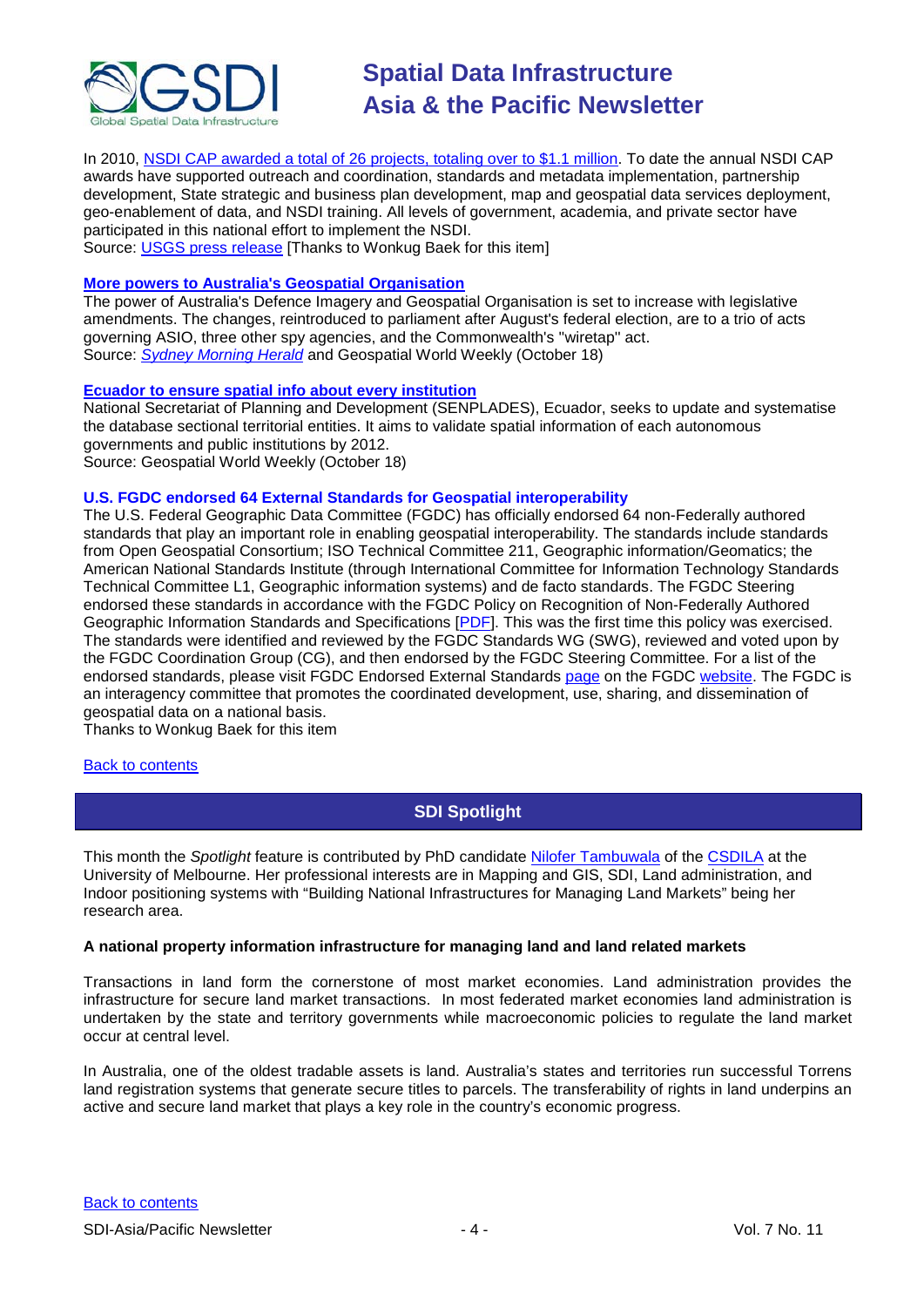

In 2010, [NSDI CAP awarded a total of 26 projects, totaling over to \\$1.1 million.](http://www.fgdc.gov/grants/2010CAP/2010CAPDescriptions) To date the annual NSDI CAP awards have supported outreach and coordination, standards and metadata implementation, partnership development, State strategic and business plan development, map and geospatial data services deployment, geo-enablement of data, and NSDI training. All levels of government, academia, and private sector have participated in this national effort to implement the NSDI. Source: [USGS press release](http://www.usgs.gov/newsroom/article.asp?ID=2624) [Thanks to Wonkug Baek for this item]

## **[More powers to Australia's Geospatial Organisation](http://www.geospatialworld.net/index.php?option=com_content&view=article&id=18666%3Amore-powers-to-australias-geospatial-organisation&catid=78%3Amiscellaneous-policy&Itemid=1)**

The power of Australia's Defence Imagery and Geospatial Organisation is set to increase with legislative amendments. The changes, reintroduced to parliament after August's federal election, are to a trio of acts governing ASIO, three other spy agencies, and the Commonwealth's ''wiretap'' act. Source: *[Sydney Morning Herald](http://www.smh.com.au/national/asio-gets-new-wiretap-powers-in-caringsharing-plan-20101011-16g34.html)* and Geospatial World Weekly (October 18)

#### **[Ecuador to ensure spatial info about every institution](http://www.geospatialworld.net/index.php?option=com_content&view=article&id=18655%3Aecuador-to-ensure-spatial-info-about-every-institution-&catid=66%3Aapplication-miscellaneous&Itemid=1)**

National Secretariat of Planning and Development (SENPLADES), Ecuador, seeks to update and systematise the database sectional territorial entities. It aims to validate spatial information of each autonomous governments and public institutions by 2012.

Source: Geospatial World Weekly (October 18)

#### **U.S. FGDC endorsed 64 External Standards for Geospatial interoperability**

The U.S. Federal Geographic Data Committee (FGDC) has officially endorsed 64 non-Federally authored standards that play an important role in enabling geospatial interoperability. The standards include standards from Open Geospatial Consortium; ISO Technical Committee 211, Geographic information/Geomatics; the American National Standards Institute (through International Committee for Information Technology Standards Technical Committee L1, Geographic information systems) and de facto standards. The FGDC Steering endorsed these standards in accordance with the FGDC Policy on Recognition of Non-Federally Authored Geographic Information Standards and Specifications [\[PDF\]](http://www.fgdc.gov/standards/standards_publications/Non-FGDC_StandardsSpecs_Policy.pdf). This was the first time this policy was exercised. The standards were identified and reviewed by the FGDC Standards WG (SWG), reviewed and voted upon by the FGDC Coordination Group (CG), and then endorsed by the FGDC Steering Committee. For a list of the endorsed standards, please visit FGDC Endorsed External Standards [page](http://www.fgdc.gov/standards/fgdc-endorsed-external-standards/index_html) on the FGDC [website.](http://www.fgdc.gov/) The FGDC is an interagency committee that promotes the coordinated development, use, sharing, and dissemination of geospatial data on a national basis.

Thanks to Wonkug Baek for this item

#### <span id="page-3-0"></span>[Back to contents](#page-0-0)

**SDI Spotlight** 

This month the *Spotlight* feature is contributed by PhD candidate [Nilofer Tambuwala](mailto:n.tambuwala@pgrad.unimelb.edu.au) of the [CSDILA](http://www.csdila.unimelb.edu.au/) at the University of Melbourne. Her professional interests are in Mapping and GIS, SDI, Land administration, and Indoor positioning systems with "Building National Infrastructures for Managing Land Markets" being her research area.

#### **A national property information infrastructure for managing land and land related markets**

Transactions in land form the cornerstone of most market economies. Land administration provides the infrastructure for secure land market transactions. In most federated market economies land administration is undertaken by the state and territory governments while macroeconomic policies to regulate the land market occur at central level.

In Australia, one of the oldest tradable assets is land. Australia's states and territories run successful Torrens land registration systems that generate secure titles to parcels. The transferability of rights in land underpins an active and secure land market that plays a key role in the country's economic progress.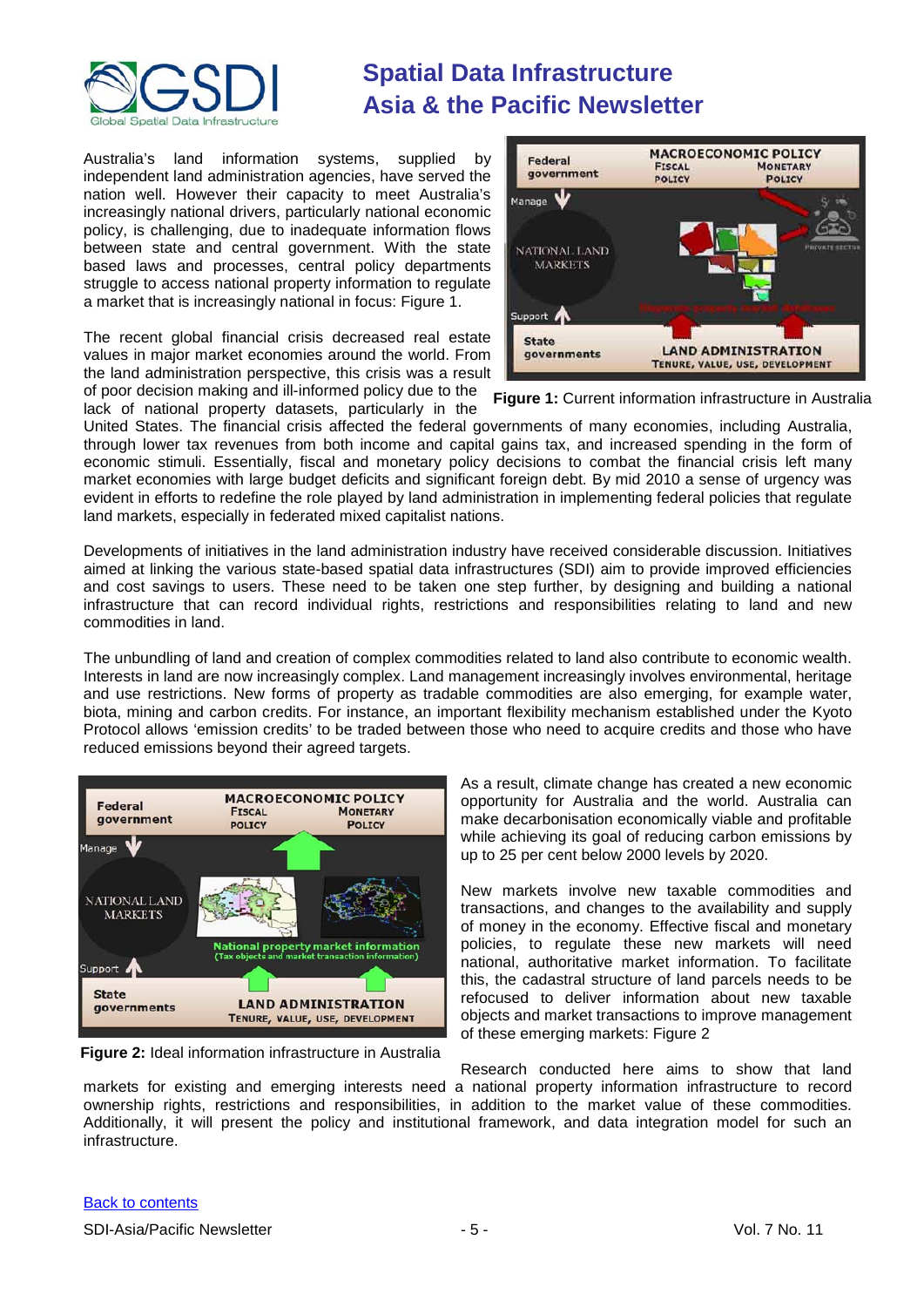

Australia's land information systems, supplied by independent land administration agencies, have served the nation well. However their capacity to meet Australia's increasingly national drivers, particularly national economic policy, is challenging, due to inadequate information flows between state and central government. With the state based laws and processes, central policy departments struggle to access national property information to regulate a market that is increasingly national in focus: Figure 1.

The recent global financial crisis decreased real estate values in major market economies around the world. From the land administration perspective, this crisis was a result of poor decision making and ill-informed policy due to the lack of national property datasets, particularly in the



**Figure 1:** Current information infrastructure in Australia

United States. The financial crisis affected the federal governments of many economies, including Australia, through lower tax revenues from both income and capital gains tax, and increased spending in the form of economic stimuli. Essentially, fiscal and monetary policy decisions to combat the financial crisis left many market economies with large budget deficits and significant foreign debt. By mid 2010 a sense of urgency was evident in efforts to redefine the role played by land administration in implementing federal policies that regulate land markets, especially in federated mixed capitalist nations.

Developments of initiatives in the land administration industry have received considerable discussion. Initiatives aimed at linking the various state-based spatial data infrastructures (SDI) aim to provide improved efficiencies and cost savings to users. These need to be taken one step further, by designing and building a national infrastructure that can record individual rights, restrictions and responsibilities relating to land and new commodities in land.

The unbundling of land and creation of complex commodities related to land also contribute to economic wealth. Interests in land are now increasingly complex. Land management increasingly involves environmental, heritage and use restrictions. New forms of property as tradable commodities are also emerging, for example water, biota, mining and carbon credits. For instance, an important flexibility mechanism established under the Kyoto Protocol allows 'emission credits' to be traded between those who need to acquire credits and those who have reduced emissions beyond their agreed targets.



**Figure 2:** Ideal information infrastructure in Australia

As a result, climate change has created a new economic opportunity for Australia and the world. Australia can make decarbonisation economically viable and profitable while achieving its goal of reducing carbon emissions by up to 25 per cent below 2000 levels by 2020.

New markets involve new taxable commodities and transactions, and changes to the availability and supply of money in the economy. Effective fiscal and monetary policies, to regulate these new markets will need national, authoritative market information. To facilitate this, the cadastral structure of land parcels needs to be refocused to deliver information about new taxable objects and market transactions to improve management of these emerging markets: Figure 2

Research conducted here aims to show that land markets for existing and emerging interests need a national property information infrastructure to record ownership rights, restrictions and responsibilities, in addition to the market value of these commodities. Additionally, it will present the policy and institutional framework, and data integration model for such an infrastructure.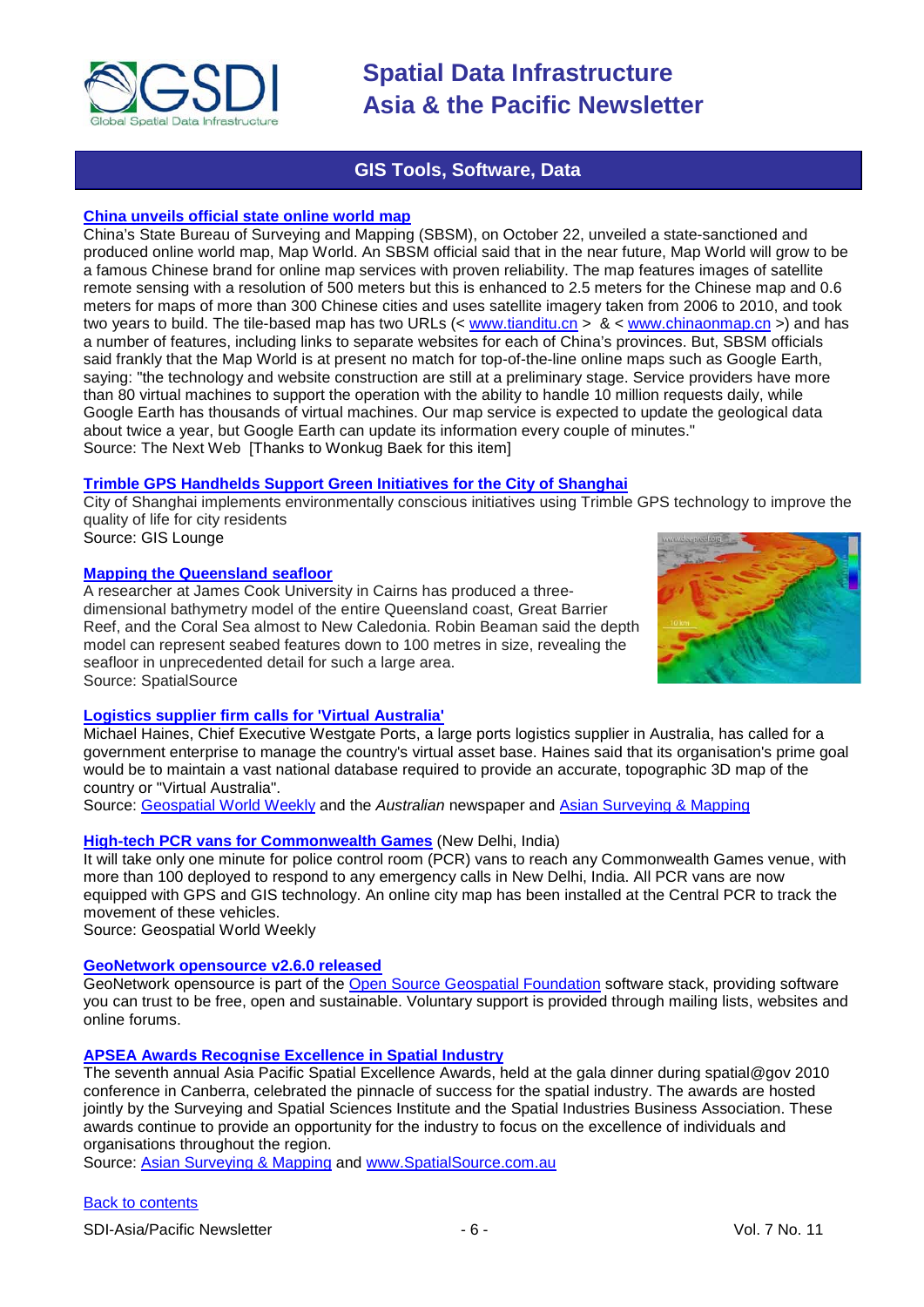

## **GIS Tools, Software, Data**

## <span id="page-5-0"></span>**[China unveils official state online world map](http://thenextweb.com/asia/2010/10/22/china-unveils-state-run-online-mapping-site/)**

China's State Bureau of Surveying and Mapping (SBSM), on October 22, unveiled a state-sanctioned and produced online world map, Map World. An SBSM official said that in the near future, Map World will grow to be a famous Chinese brand for online map services with proven reliability. The map features images of satellite remote sensing with a resolution of 500 meters but this is enhanced to 2.5 meters for the Chinese map and 0.6 meters for maps of more than 300 Chinese cities and uses satellite imagery taken from 2006 to 2010, and took two years to build. The tile-based map has two URLs  $(<$  [www.tianditu.cn](http://www.tianditu.cn/) >  $\&$  < [www.chinaonmap.cn](http://www.chinaonmap.cn/) >) and has a number of features, including links to separate websites for each of China's provinces. But, SBSM officials said frankly that the Map World is at present no match for top-of-the-line online maps such as Google Earth, saying: "the technology and website construction are still at a preliminary stage. Service providers have more than 80 virtual machines to support the operation with the ability to handle 10 million requests daily, while Google Earth has thousands of virtual machines. Our map service is expected to update the geological data about twice a year, but Google Earth can update its information every couple of minutes." Source: The Next Web [Thanks to Wonkug Baek for this item]

## **Trimble GPS [Handhelds Support Green Initiatives for the City of Shanghai](http://gislounge.com/trimble-gps-shanghai/?utm_source=feedburner&utm_medium=feed&utm_campaign=Feed%3A+gislounge+%28GIS+Lounge%29&utm_content=Google+Reader)**

City of Shanghai implements environmentally conscious initiatives using Trimble GPS technology to improve the quality of life for city residents Source: GIS Lounge

#### **[Mapping the Queensland seafloor](http://www.spatialsource.com.au/2010/10/05/article/Mapping-the-Queensland-seafloor/BWATCMTUJT)**

A researcher at James Cook University in Cairns has produced a threedimensional bathymetry model of the entire Queensland coast, Great Barrier Reef, and the Coral Sea almost to New Caledonia. Robin Beaman said the depth model can represent seabed features down to 100 metres in size, revealing the seafloor in unprecedented detail for such a large area. Source: SpatialSource



## **[Logistics supplier firm calls for 'Virtual Australia'](http://www.theaustralian.com.au/australian-it/national-topographic-3d-mapa-called-for/story-e6frgakx-1225934043514)**

Michael Haines, Chief Executive Westgate Ports, a large ports logistics supplier in Australia, has called for a government enterprise to manage the country's virtual asset base. Haines said that its organisation's prime goal would be to maintain a vast national database required to provide an accurate, topographic 3D map of the country or "Virtual Australia".

Source: [Geospatial World Weekly](http://www.geospatialworld.net/index.php?option=com_content&view=article&id=18602%3Alogistics-supplier-firm-calls-for-virtual-australia&catid=82%3Aproduct-image-processing&Itemid=1) and the *Australian* newspaper and [Asian Surveying & Mapping](http://asmmag.com/features/australia-embarks-on-an-effort-to-build-virtual-australia)

## **[High-tech PCR vans for Commonwealth Games](http://www.geospatialworld.net/index.php?option=com_content&view=article&id=18541%3Ahigh-tech-pcr-vans-for-commonwealth-games&catid=61%3Aapplication-transportation-navigation&Itemid=1)** (New Delhi, India)

It will take only one minute for police control room (PCR) vans to reach any Commonwealth Games venue, with more than 100 deployed to respond to any emergency calls in New Delhi, India. All PCR vans are now equipped with GPS and GIS technology. An online city map has been installed at the Central PCR to track the movement of these vehicles.

Source: Geospatial World Weekly

#### **[GeoNetwork opensource v2.6.0 released](https://sourceforge.net/projects/geonetwork/)**

GeoNetwork opensource is part of the [Open Source Geospatial Foundation](http://www.osgeo.org/) software stack, providing software you can trust to be free, open and sustainable. Voluntary support is provided through mailing lists, websites and online forums.

## **[APSEA Awards Recognise Excellence](http://spatialsource.com.au/2010/10/08/article/APSEA-awards-recognise-excellence-in-spatial-industry/ZRKFPFOLFO.html) in Spatial Industry**

The seventh annual Asia Pacific Spatial Excellence Awards, held at the gala dinner during spatial@gov 2010 conference in Canberra, celebrated the pinnacle of success for the spatial industry. The awards are hosted jointly by the Surveying and Spatial Sciences Institute and the Spatial Industries Business Association. These awards continue to provide an opportunity for the industry to focus on the excellence of individuals and organisations throughout the region.

Source: [Asian Surveying & Mapping](http://asmmag.com/news/apsea-awards-recognise-excellence-in-spatial-industry) and [www.SpatialSource.com.au](http://www.spatialsource.com.au/)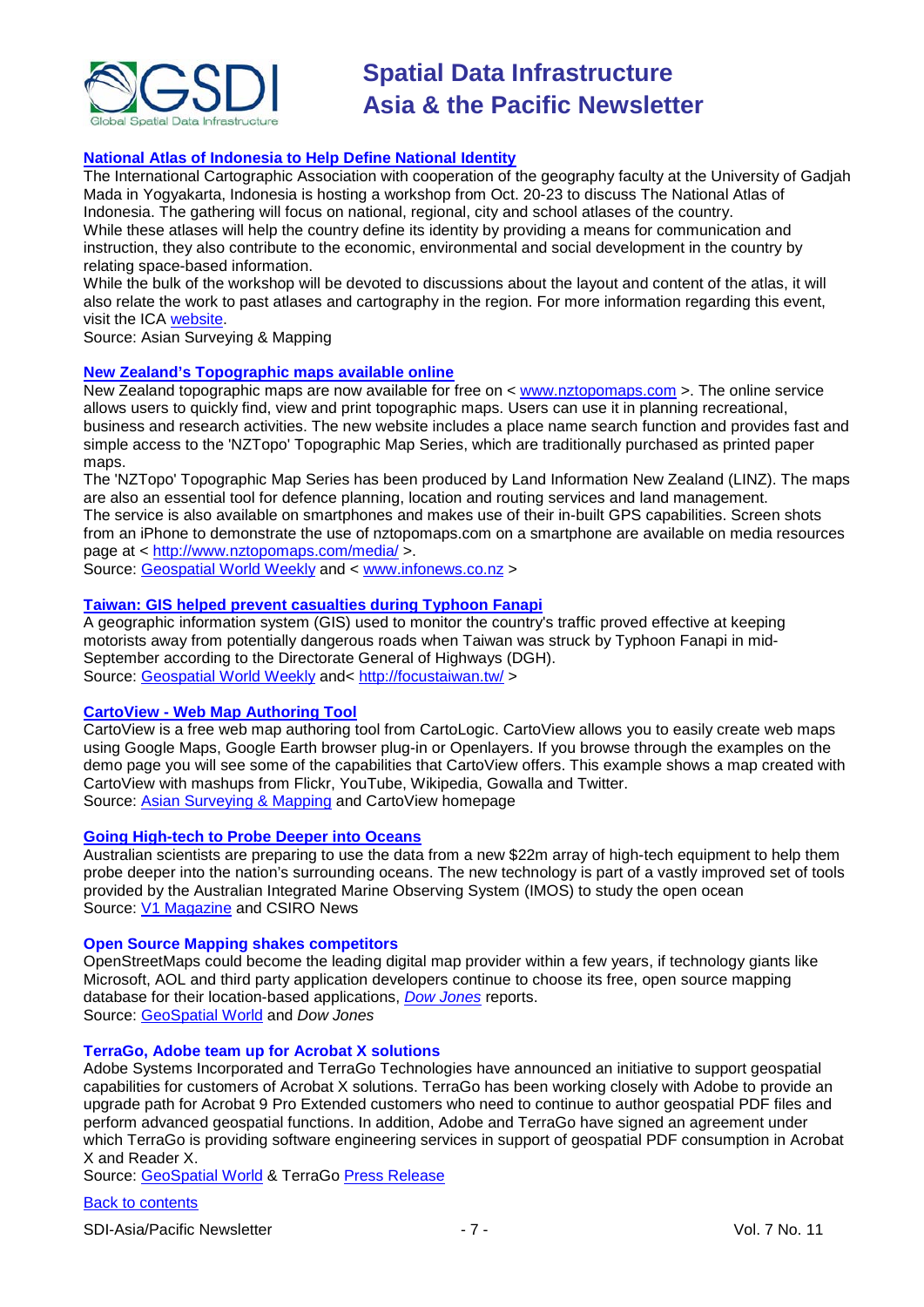

## **[National Atlas of Indonesia to Help Define National Identity](http://asmmag.com/news/national-atlas-of-indonesia-to-help-define-national-identity)**

The International Cartographic Association with cooperation of the geography faculty at the University of Gadjah Mada in Yogyakarta, Indonesia is hosting a workshop from Oct. 20-23 to discuss The National Atlas of Indonesia. The gathering will focus on national, regional, city and school atlases of the country. While these atlases will help the country define its identity by providing a means for communication and instruction, they also contribute to the economic, environmental and social development in the country by relating space-based information.

While the bulk of the workshop will be devoted to discussions about the layout and content of the atlas, it will also relate the work to past atlases and cartography in the region. For more information regarding this event, visit the [ICA website.](http://www.icaci.org/)

Source: Asian Surveying & Mapping

## **[New Zealand's Topographic maps available online](http://www.infonews.co.nz/news.cfm?id=58677)**

New Zealand topographic maps are now available for free on < [www.nztopomaps.com](http://www.nztopomaps.com/) >. The online service allows users to quickly find, view and print topographic maps. Users can use it in planning recreational, business and research activities. The new website includes a place name search function and provides fast and simple access to the 'NZTopo' Topographic Map Series, which are traditionally purchased as printed paper maps.

The 'NZTopo' Topographic Map Series has been produced by Land Information New Zealand (LINZ). The maps are also an essential tool for defence planning, location and routing services and land management. The service is also available on smartphones and makes use of their in-built GPS capabilities. Screen shots from an iPhone to demonstrate the use of nztopomaps.com on a smartphone are available on media resources page at < <http://www.nztopomaps.com/media/> >.

Source: [Geospatial World Weekly](http://www.geospatialworld.net/index.php?option=com_content&view=article&id=18591%3Anew-zealands-topographic-maps-available-online&catid=48%3Aproduct-cartography-map-publishing&Itemid=1&pagetype=newssearch) and < [www.infonews.co.nz](http://www.infonews.co.nz/) >

#### **[Taiwan: GIS helped prevent casualties during Typhoon Fanapi](http://focustaiwan.tw/ShowNews/WebNews_Detail.aspx?Type=aALL&ID=201010010045)**

A geographic information system (GIS) used to monitor the country's traffic proved effective at keeping motorists away from potentially dangerous roads when Taiwan was struck by Typhoon Fanapi in mid-September according to the Directorate General of Highways (DGH). Source: [Geospatial World Weekly](http://www.geospatialworld.net/index.php?option=com_content&view=article&id=18572%3Agis-helped-prevent-casualties-during-typhoon-fanapi-dgh&catid=53%3Aapplication-natural-hazard-management&Itemid=1&pagetype=newssearch) and<<http://focustaiwan.tw/> >

### **CartoView - [Web Map Authoring Tool](http://www.cartologic.com/cartoview/)**

CartoView is a free web map authoring tool from CartoLogic. CartoView allows you to easily create web maps using Google Maps, Google Earth browser plug-in or Openlayers. If you browse through the examples on the demo page you will see some of the capabilities that CartoView offers. This example shows a map created with CartoView with mashups from Flickr, YouTube, Wikipedia, Gowalla and Twitter. Source: [Asian Surveying & Mapping](http://asmmag.com/news/cartoview-web-map-authoring-tool) and CartoView homepage

#### **[Going High-tech to Probe Deeper into Oceans](http://www.csiro.au/news/Going-high-tech-to-probe-deeper-into-oceans.html)**

Australian scientists are preparing to use the data from a new \$22m array of high-tech equipment to help them probe deeper into the nation's surrounding oceans. The new technology is part of a vastly improved set of tools provided by the Australian Integrated Marine Observing System (IMOS) to study the open ocean Source: [V1 Magazine](http://vector1media.com/news/top-stories/53-corporate-news/16159-going-high-tech-to-probe-deeper-into-oceans) and CSIRO News

#### **Open Source Mapping shakes competitors**

OpenStreetMaps could become the leading digital map provider within a few years, if technology giants like Microsoft, AOL and third party application developers continue to choose its free, open source mapping database for their location-based applications, *[Dow Jones](http://www.dowjones.de/site/2010/10/interview-open-source-mapping-poses-threat-for-tomtom-nokia.html)* reports. Source: [GeoSpatial World](http://www.geospatialworld.net/index.php?option=com_content&view=article&id=18710:open-source-mapping-shakes-competitors&catid=72&Itemid=1) and *Dow Jones*

#### **TerraGo, Adobe team up for Acrobat X solutions**

Adobe Systems Incorporated and TerraGo Technologies have announced an initiative to support geospatial capabilities for customers of Acrobat X solutions. TerraGo has been working closely with Adobe to provide an upgrade path for Acrobat 9 Pro Extended customers who need to continue to author geospatial PDF files and perform advanced geospatial functions. In addition, Adobe and TerraGo have signed an agreement under which TerraGo is providing software engineering services in support of geospatial PDF consumption in Acrobat X and Reader X.

Source: [GeoSpatial World](http://www.geospatialworld.net/index.php?option=com_content&view=article&id=18706:terrago-adobe-team-up-for-acrobat-x-solutions&catid=67&Itemid=1) & TerraG[o Press Release](http://www.terragotech.com/news-and-events/press-releases/adobe-and-terrago-collaborate-geospatial-capabilities-acrobat-x)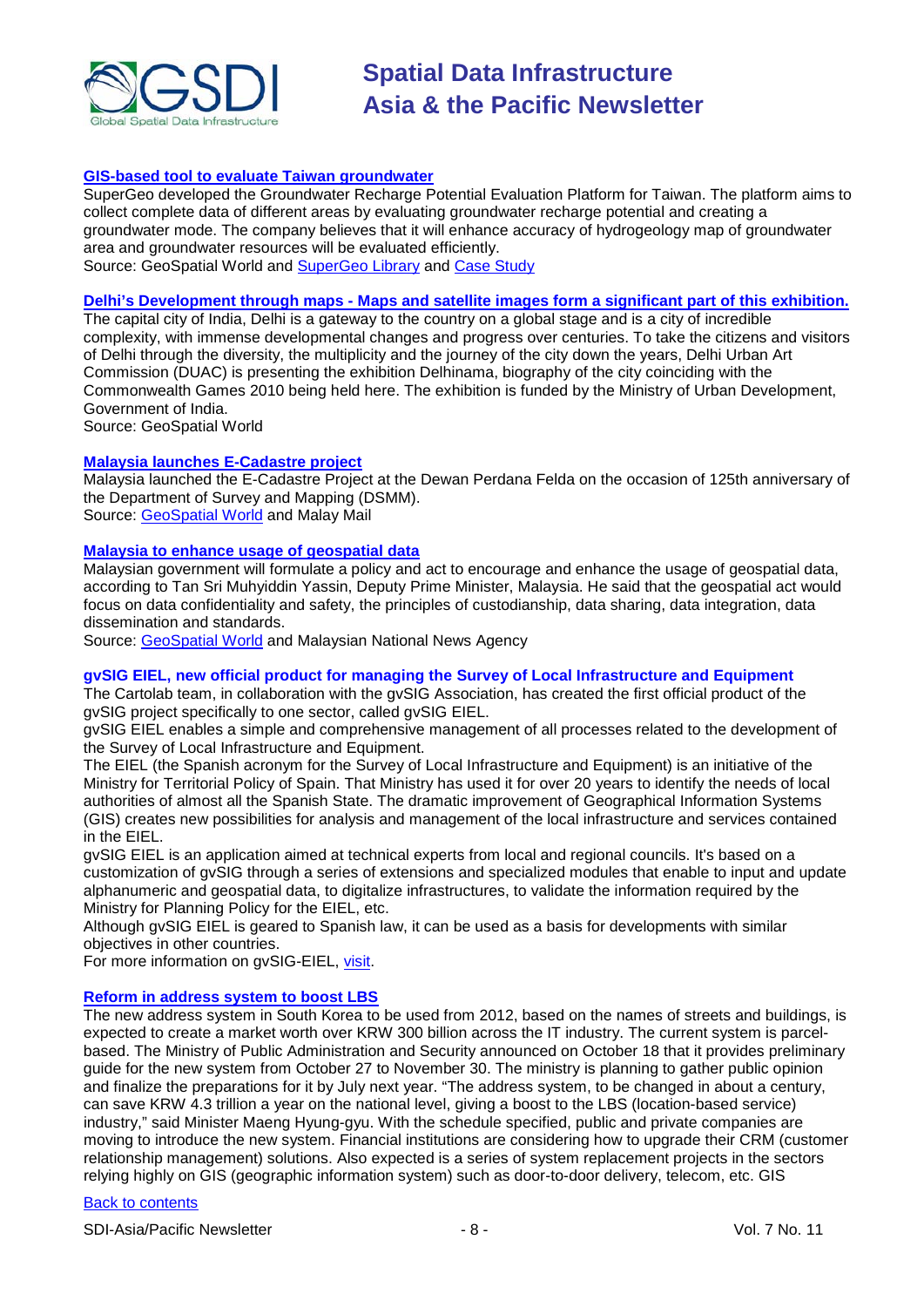

### **[GIS-based tool to evaluate Taiwan groundwater](http://www.geospatialworld.net/index.php?option=com_content&view=article&id=18670%3Agis-based-tool-to-evaluate-groundwater&catid=52%3Aapplication-natural-resource-management&Itemid=1)**

SuperGeo developed the Groundwater Recharge Potential Evaluation Platform for Taiwan. The platform aims to collect complete data of different areas by evaluating groundwater recharge potential and creating a groundwater mode. The company believes that it will enhance accuracy of hydrogeology map of groundwater area and groundwater resources will be evaluated efficiently. Source: GeoSpatial World and [SuperGeo Library](http://www.supergeotek.com/Library_2_201010.aspx) and [Case Study](http://www.supergeotek.com/inner/Download/Groundwater%20Recharge%20Potential%20Evaluation%20Platform-20101005145023.pdf)

#### **Delhi's Development through maps - [Maps and satellite images form a significant part of this exhibition.](http://www.geospatialworld.net/index.php?option=com_content&view=article&id=18645%3Adelhis-biography-through-maps&catid=75%3Amiscellaneous-events&Itemid=1)**

The capital city of India, Delhi is a gateway to the country on a global stage and is a city of incredible complexity, with immense developmental changes and progress over centuries. To take the citizens and visitors of Delhi through the diversity, the multiplicity and the journey of the city down the years, Delhi Urban Art Commission (DUAC) is presenting the exhibition Delhinama, biography of the city coinciding with the Commonwealth Games 2010 being held here. The exhibition is funded by the Ministry of Urban Development, Government of India.

Source: GeoSpatial World

#### **[Malaysia launches E-Cadastre project](http://www.mmail.com.my/content/52298-ecadastre-project-expedite-title-plans-issuance)**

Malaysia launched the E-Cadastre Project at the Dewan Perdana Felda on the occasion of 125th anniversary of the Department of Survey and Mapping (DSMM). Source: [GeoSpatial World](http://www.geospatialworld.net/index.php?option=com_content&view=article&id=18685%3Amalaysia-launches-e-cadastre-project&catid=58&Itemid=28&Itemid=1) and Malay Mail

#### **[Malaysia to enhance usage of geospatial data](http://www.bernama.com/bernama/v5/newsindex.php?id=535268)**

Malaysian government will formulate a policy and act to encourage and enhance the usage of geospatial data, according to Tan Sri Muhyiddin Yassin, Deputy Prime Minister, Malaysia. He said that the geospatial act would focus on data confidentiality and safety, the principles of custodianship, data sharing, data integration, data dissemination and standards.

Source: [GeoSpatial World](http://www.geospatialworld.net/index.php?option=com_content&view=article&id=18686%3Amalaysia-to-enhance-usage-of-geospatial-data&catid=78&Itemid=28&Itemid=1) and Malaysian National News Agency

#### **gvSIG EIEL, new official product for managing the Survey of Local Infrastructure and Equipment**

The Cartolab team, in collaboration with the gvSIG Association, has created the first official product of the gvSIG project specifically to one sector, called gvSIG EIEL.

gvSIG EIEL enables a simple and comprehensive management of all processes related to the development of the Survey of Local Infrastructure and Equipment.

The EIEL (the Spanish acronym for the Survey of Local Infrastructure and Equipment) is an initiative of the Ministry for Territorial Policy of Spain. That Ministry has used it for over 20 years to identify the needs of local authorities of almost all the Spanish State. The dramatic improvement of Geographical Information Systems (GIS) creates new possibilities for analysis and management of the local infrastructure and services contained in the EIEL.

gvSIG EIEL is an application aimed at technical experts from local and regional councils. It's based on a customization of gvSIG through a series of extensions and specialized modules that enable to input and update alphanumeric and geospatial data, to digitalize infrastructures, to validate the information required by the Ministry for Planning Policy for the EIEL, etc.

Although gvSIG EIEL is geared to Spanish law, it can be used as a basis for developments with similar objectives in other countries.

For more information on gvSIG-EIEL, [visit.](http://www.cartolab.es/gvsig-eiel)

#### **[Reform in address system to boost LBS](http://english.etnews.co.kr/news/detail.html?id=201010200004)**

The new address system in South Korea to be used from 2012, based on the names of streets and buildings, is expected to create a market worth over KRW 300 billion across the IT industry. The current system is parcelbased. The Ministry of Public Administration and Security announced on October 18 that it provides preliminary guide for the new system from October 27 to November 30. The ministry is planning to gather public opinion and finalize the preparations for it by July next year. "The address system, to be changed in about a century, can save KRW 4.3 trillion a year on the national level, giving a boost to the LBS (location-based service) industry," said Minister Maeng Hyung-gyu. With the schedule specified, public and private companies are moving to introduce the new system. Financial institutions are considering how to upgrade their CRM (customer relationship management) solutions. Also expected is a series of system replacement projects in the sectors relying highly on GIS (geographic information system) such as door-to-door delivery, telecom, etc. GIS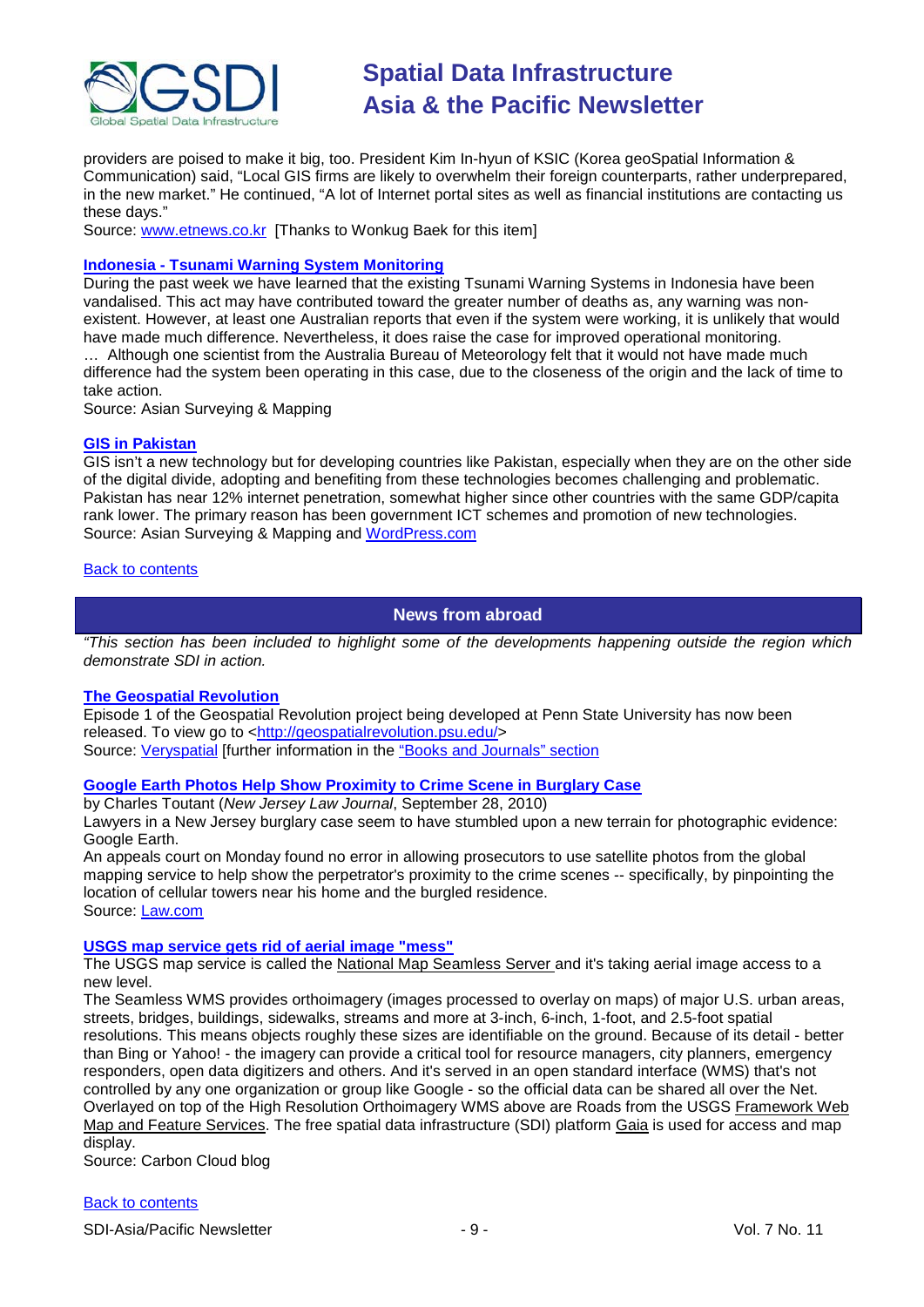

providers are poised to make it big, too. President Kim In-hyun of KSIC (Korea geoSpatial Information & Communication) said, "Local GIS firms are likely to overwhelm their foreign counterparts, rather underprepared, in the new market." He continued, "A lot of Internet portal sites as well as financial institutions are contacting us these days."

Source: [www.etnews.co.kr](http://www.etnews.co.kr/) [Thanks to Wonkug Baek for this item]

#### **Indonesia - [Tsunami Warning System Monitoring](http://asmmag.com/features/indonesia-tsunami-warning-system-monitoring)**

During the past week we have learned that the existing Tsunami Warning Systems in Indonesia have been vandalised. This act may have contributed toward the greater number of deaths as, any warning was nonexistent. However, at least one Australian reports that even if the system were working, it is unlikely that would have made much difference. Nevertheless, it does raise the case for improved operational monitoring.

… Although one scientist from the Australia Bureau of Meteorology felt that it would not have made much difference had the system been operating in this case, due to the closeness of the origin and the lack of time to take action.

Source: Asian Surveying & Mapping

#### **[GIS in Pakistan](http://asmmag.com/news/gis-in-pakistan)**

GIS isn't a new technology but for developing countries like Pakistan, especially when they are on the other side of the digital divide, adopting and benefiting from these technologies becomes challenging and problematic. Pakistan has near 12% internet penetration, somewhat higher since other countries with the same GDP/capita rank lower. The primary reason has been government ICT schemes and promotion of new technologies. Source: Asian Surveying & Mapping and [WordPress.com](http://upgeog.wordpress.com/2010/10/29/gis-in-pakistan/)

#### <span id="page-8-0"></span>[Back to contents](#page-0-0)

## **News from abroad**

*"This section has been included to highlight some of the developments happening outside the region which demonstrate SDI in action.*

#### **[The Geospatial Revolution](http://www.geotime.com/Product/GeoTime-(1)/Demos-(1)/Demos-(7).aspx)**

Episode 1 of the Geospatial Revolution project being developed at Penn State University has now been released. To view go to [<http://geospatialrevolution.psu.edu/>](http://geospatialrevolution.psu.edu/) Source: [Veryspatial](http://veryspatial.com/2010/09/episode-1-of-the-geospatial-revolution-project-is-now-out/) [further information in the "Books and Journals" section

#### **[Google Earth Photos Help Show Proximity to Crime Scene in Burglary Case](http://www.law.com/jsp/article.jsp?id=1202472614519&rss=newswire)**

by Charles Toutant (*New Jersey Law Journal*, September 28, 2010)

Lawyers in a New Jersey burglary case seem to have stumbled upon a new terrain for photographic evidence: Google Earth.

An appeals court on Monday found no error in allowing prosecutors to use satellite photos from the global mapping service to help show the perpetrator's proximity to the crime scenes -- specifically, by pinpointing the location of cellular towers near his home and the burgled residence. Source: [Law.com](http://www.law.com/jsp/law/index.jsp)

#### **[USGS map service gets rid of aerial image "mess"](http://carboncloud.blogspot.com/2010/09/usgs-seamless-map-service-gets-rid-of.html)**

The USGS map service is called the [National Map Seamless Server a](http://seamless.usgs.gov/wms.php)nd it's taking aerial image access to a new level.

The Seamless WMS provides orthoimagery (images processed to overlay on maps) of major U.S. urban areas, streets, bridges, buildings, sidewalks, streams and more at 3-inch, 6-inch, 1-foot, and 2.5-foot spatial resolutions. This means objects roughly these sizes are identifiable on the ground. Because of its detail - better than Bing or Yahoo! - the imagery can provide a critical tool for resource managers, city planners, emergency responders, open data digitizers and others. And it's served in an open standard interface (WMS) that's not controlled by any one organization or group like Google - so the official data can be shared all over the Net. Overlayed on top of the High Resolution Orthoimagery WMS above are Roads from the USGS [Framework Web](http://frameworkwfs.usgs.gov/)  [Map and Feature Services.](http://frameworkwfs.usgs.gov/) The free spatial data infrastructure (SDI) platform [Gaia](http://www.thecarbonproject.com/gaia.php) is used for access and map display.

Source: Carbon Cloud blog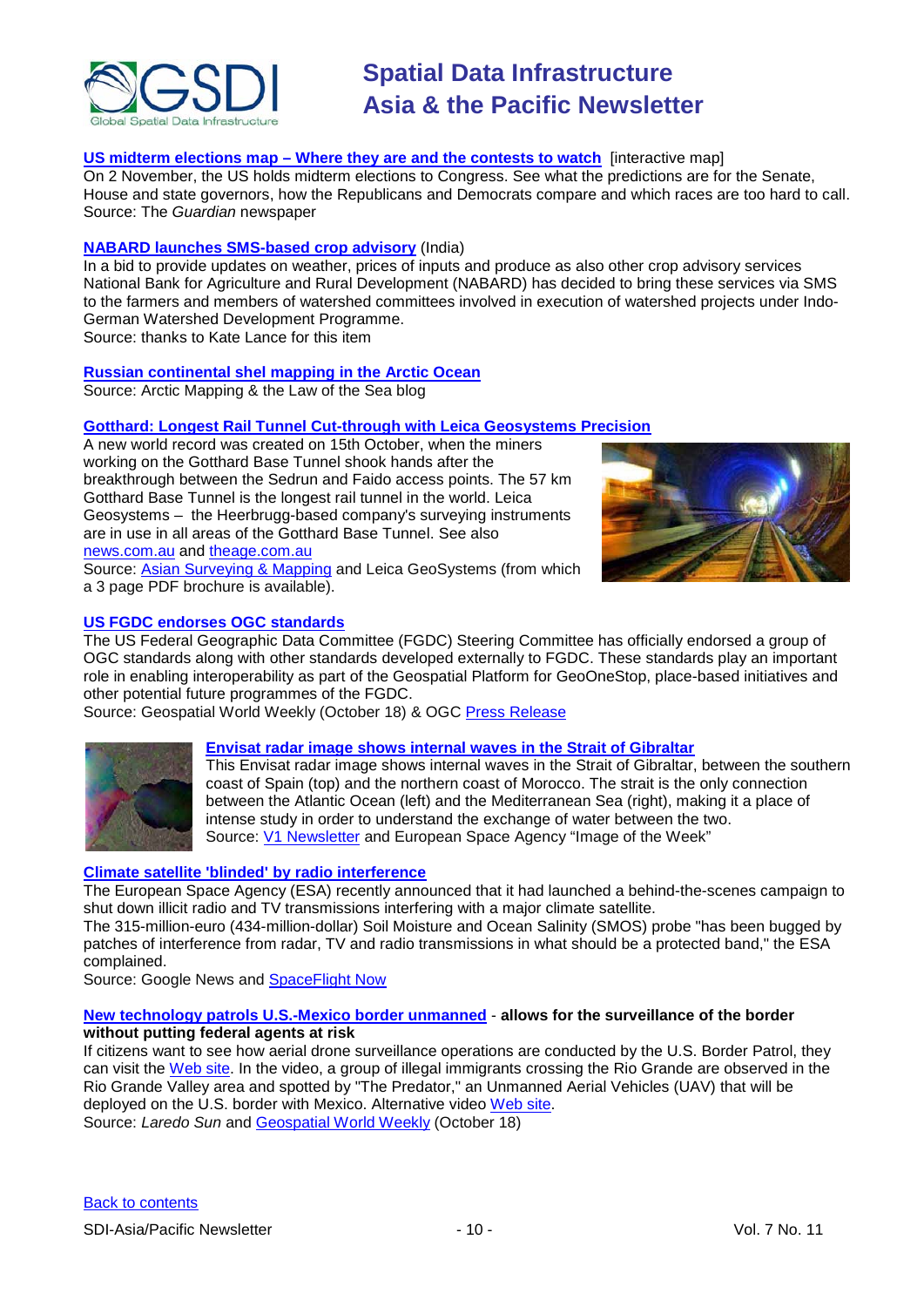

### **US midterm elections map – [Where they are and the contests to watch](http://www.guardian.co.uk/world/interactive/2010/oct/04/us-midterm-elections-map-2010)** [interactive map]

On 2 November, the US holds midterm elections to Congress. See what the predictions are for the Senate, House and state governors, how the Republicans and Democrats compare and which races are too hard to call. Source: The *Guardian* newspaper

#### **[NABARD launches SMS-based crop advisory](http://www.newkerala.com/news/world/fullnews-56642.html)** (India)

In a bid to provide updates on weather, prices of inputs and produce as also other crop advisory services National Bank for Agriculture and Rural Development (NABARD) has decided to bring these services via SMS to the farmers and members of watershed committees involved in execution of watershed projects under Indo-German Watershed Development Programme.

Source: thanks to Kate Lance for this item

### **[Russian continental shel mapping in the Arctic Ocean](http://arctic-healy-baker-2008.blogspot.com/2010/10/russian-and-danish-mapping-in-arctic.html)**

Source: Arctic Mapping & the Law of the Sea blog

## **[Gotthard: Longest Rail Tunnel Cut-through with Leica Geosystems Precision](http://www.leica-geosystems.com/en/Tunnel-technology-for-the-future_4275.htm)**

A new world record was created on 15th October, when the miners working on the Gotthard Base Tunnel shook hands after the breakthrough between the Sedrun and Faido access points. The 57 km Gotthard Base Tunnel is the longest rail tunnel in the world. Leica Geosystems – the Heerbrugg-based company's surveying instruments are in use in all areas of the Gotthard Base Tunnel. See also [news.com.au](http://www.news.com.au/travel/news/worlds-longest-tunnel-at-the-swiss-alps-to-open/story-e6frfq80-1225939063495) and [theage.com.au](http://www.theage.com.au/photogallery/travel/worlds-longest-tunnel/20101014-16lh4.html)



Source: [Asian Surveying & Mapping](http://asmmag.com/news/gotthard-longest-rail-tunnel-cut-through-with-leica-geosystems-precision) and Leica GeoSystems (from which a 3 page PDF brochure is available).

#### **[US FGDC endorses OGC standards](http://www.geospatialworld.net/index.php?option=com_content&view=article&id=18664%3Aus-fgdc-endorses-ogc-standards&catid=67%3Abusiness-general&Itemid=1)**

The US Federal Geographic Data Committee (FGDC) Steering Committee has officially endorsed a group of OGC standards along with other standards developed externally to FGDC. These standards play an important role in enabling interoperability as part of the Geospatial Platform for GeoOneStop, place-based initiatives and other potential future programmes of the FGDC.

Source: Geospatial World Weekly (October 18) & OGC [Press Release](http://www.opengeospatial.org/pressroom/pressreleases/1294)



#### **[Envisat radar image shows internal waves in the Strait of Gibraltar](http://www.esa.int/esaEO/SEM5B5TOREG_index_0.html)**

This Envisat radar image shows internal waves in the Strait of Gibraltar, between the southern coast of Spain (top) and the northern coast of Morocco. The strait is the only connection between the Atlantic Ocean (left) and the Mediterranean Sea (right), making it a place of intense study in order to understand the exchange of water between the two. Source: [V1 Newsletter](http://vector1media.com/news/headlines/16025-radar-image-shows-internal-waves-in-the-strait-of-gibraltar) and European Space Agency "Image of the Week"

#### **[Climate satellite 'blinded' by radio interference](http://www.google.com/hostednews/afp/article/ALeqM5iOlbgHPSMvOx7-4MySoQ7Ry7541g?docId=CNG.1227616179375c52ffa71e0507f6867b.be1)**

The European Space Agency (ESA) recently announced that it had launched a behind-the-scenes campaign to shut down illicit radio and TV transmissions interfering with a major climate satellite.

The 315-million-euro (434-million-dollar) Soil Moisture and Ocean Salinity (SMOS) probe "has been bugged by patches of interference from radar, TV and radio transmissions in what should be a protected band," the ESA complained.

Source: Google News and [SpaceFlight Now](http://www.spaceflightnow.com/news/n1010/07smos/)

#### **[New technology patrols U.S.-Mexico border unmanned](http://www.laredosun.us/notas.asp?id=11289)** - **allows for the surveillance of the border without putting federal agents at risk**

If citizens want to see how aerial drone surveillance operations are conducted by the U.S. Border Patrol, they can visit the [Web site.](http://video.house.gov/cao/hrs/RepCuellar.html) In the video, a group of illegal immigrants crossing the Rio Grande are observed in the Rio Grande Valley area and spotted by "The Predator," an Unmanned Aerial Vehicles (UAV) that will be deployed on the U.S. border with Mexico. Alternative video [Web site.](http://uppergreatplainsuas.blogspot.com/2010/10/video-of-how-uav-patrols-us-borders.html) Source: *Laredo Sun* and [Geospatial World Weekly](http://www.geospatialworld.net/newsletter/weekly_newsletter/oct1810.htm) (October 18)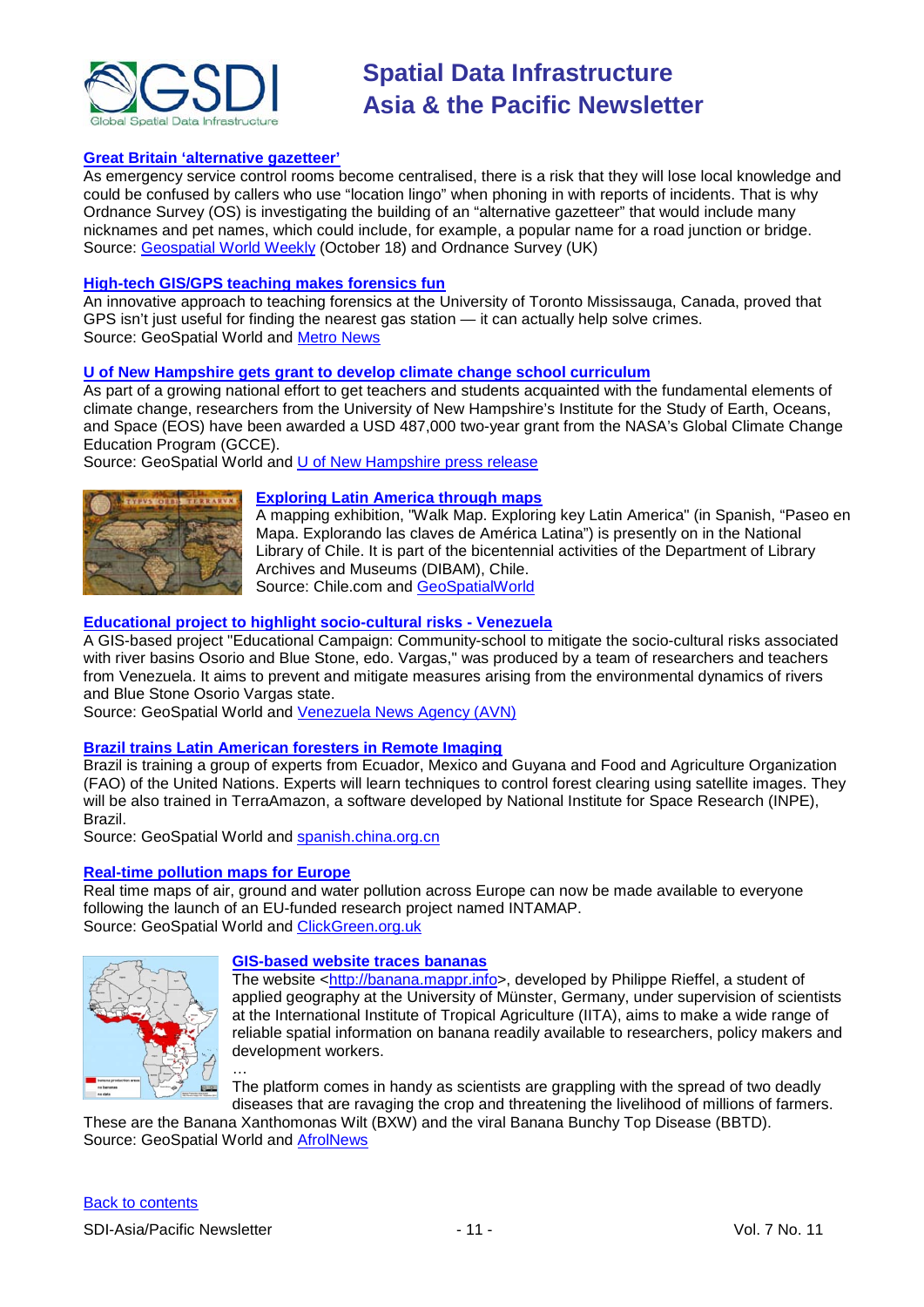

#### **[Great Britain 'alternative gazetteer'](http://www.ordnancesurvey.co.uk/oswebsite/media/news/2010/oct/locationlingo.html)**

As emergency service control rooms become centralised, there is a risk that they will lose local knowledge and could be confused by callers who use "location lingo" when phoning in with reports of incidents. That is why Ordnance Survey (OS) is investigating the building of an "alternative gazetteer" that would include many nicknames and pet names, which could include, for example, a popular name for a road junction or bridge. Source: [Geospatial World Weekly](http://www.geospatialworld.net/index.php?option=com_content&view=article&id=18672%3Aan-alternative-gazetteer-of-great-britain&catid=48%3Aproduct-cartography-map-publishing&Itemid=1) (October 18) and Ordnance Survey (UK)

#### **[High-tech GIS/GPS teaching makes forensics fun](http://www.geospatialworld.net/index.php?option=com_content&view=article&id=18675%3Ahigh-tech-teaching-makes-forensics-fun&catid=77%3Amiscellaneous-education&Itemid=1)**

An innovative approach to teaching forensics at the University of Toronto Mississauga, Canada, proved that GPS isn't just useful for finding the nearest gas station — it can actually help solve crimes. Source: GeoSpatial World and [Metro News](http://www.metronews.ca/vancouver/learn/article/659533--high-tech-teaching-makes-forensics-fun)

#### **[U of New Hampshire gets grant to develop climate change school curriculum](http://www.geospatialworld.net/index.php?option=com_content&view=article&id=18640%3Aunh-gets-grant-to-develop-climate-change-school-curriculum&catid=77%3Amiscellaneous-education&Itemid=1)**

As part of a growing national effort to get teachers and students acquainted with the fundamental elements of climate change, researchers from the University of New Hampshire's Institute for the Study of Earth, Oceans, and Space (EOS) have been awarded a USD 487,000 two-year grant from the NASA's Global Climate Change Education Program (GCCE).

Source: GeoSpatial World and [U of New Hampshire press release](http://www.unh.edu/news/cj_nr/2010/oct/ds07nasa.cfm)



#### **[Exploring Latin America through maps](http://www.chile.com/secciones/ver_seccion/123705/exponen-antiguos-mapas-de-america-latina/)**

A mapping exhibition, "Walk Map. Exploring key Latin America" (in Spanish, "Paseo en Mapa. Explorando las claves de América Latina") is presently on in the National Library of Chile. It is part of the bicentennial activities of the Department of Library Archives and Museums (DIBAM), Chile. Source: Chile.com and [GeoSpatialWorld](http://www.geospatialworld.net/index.php?option=com_content&view=article&id=18665%3Aexploring-latin-america-through-maps&catid=75%3Amiscellaneous-events&Itemid=1)

#### **[Educational project to highlight socio-cultural risks -](http://www.geospatialworld.net/index.php?option=com_content&view=article&id=18652%3Aeducational-project-to-highlight-socio-cultural-risks&catid=77%3Amiscellaneous-education&Itemid=1) Venezuela**

A GIS-based project "Educational Campaign: Community-school to mitigate the socio-cultural risks associated with river basins Osorio and Blue Stone, edo. Vargas," was produced by a team of researchers and teachers from Venezuela. It aims to prevent and mitigate measures arising from the environmental dynamics of rivers and Blue Stone Osorio Vargas state.

Source: GeoSpatial World and [Venezuela News Agency \(AVN\)](http://www.avn.info.ve/node/22091)

#### **[Brazil trains Latin American foresters in Remote Imaging](http://www.geospatialworld.net/index.php?option=com_content&view=article&id=18651%3Abrazil-trains-latin-american-foresters&catid=77%3Amiscellaneous-education&Itemid=1)**

Brazil is training a group of experts from Ecuador, Mexico and Guyana and Food and Agriculture Organization (FAO) of the United Nations. Experts will learn techniques to control forest clearing using satellite images. They will be also trained in TerraAmazon, a software developed by National Institute for Space Research (INPE), Brazil.

Source: GeoSpatial World and [spanish.china.org.cn](http://spanish.china.org.cn/international/txt/2010-10/06/content_21067200.htm)

### **[Real-time pollution maps for Europe](http://www.geospatialworld.net/index.php?option=com_content&view=article&id=18687%3Areal-time-pollution-maps-for-europe&catid=48&Itemid=28&Itemid=1)**

Real time maps of air, ground and water pollution across Europe can now be made available to everyone following the launch of an EU-funded research project named INTAMAP. Source: GeoSpatial World and [ClickGreen.org.uk](http://www.clickgreen.org.uk/events/events/121547-real-time-pollution-maps-launched-across-europe.html)



#### **[GIS-based website traces bananas](http://www.geospatialworld.net/index.php?option=com_content&view=article&id=18643%3Agis-based-website-traces-bananas-&catid=42%3Aproduct-gis&Itemid=1)**

The website [<http://banana.mappr.info>](http://banana.mappr.info/), developed by Philippe Rieffel, a student of applied geography at the University of Münster, Germany, under supervision of scientists at the International Institute of Tropical Agriculture (IITA), aims to make a wide range of reliable spatial information on banana readily available to researchers, policy makers and development workers.

… The platform comes in handy as scientists are grappling with the spread of two deadly diseases that are ravaging the crop and threatening the livelihood of millions of farmers.

These are the Banana Xanthomonas Wilt (BXW) and the viral Banana Bunchy Top Disease (BBTD). Source: GeoSpatial World and [AfrolNews](http://www.afrol.com/articles/36712)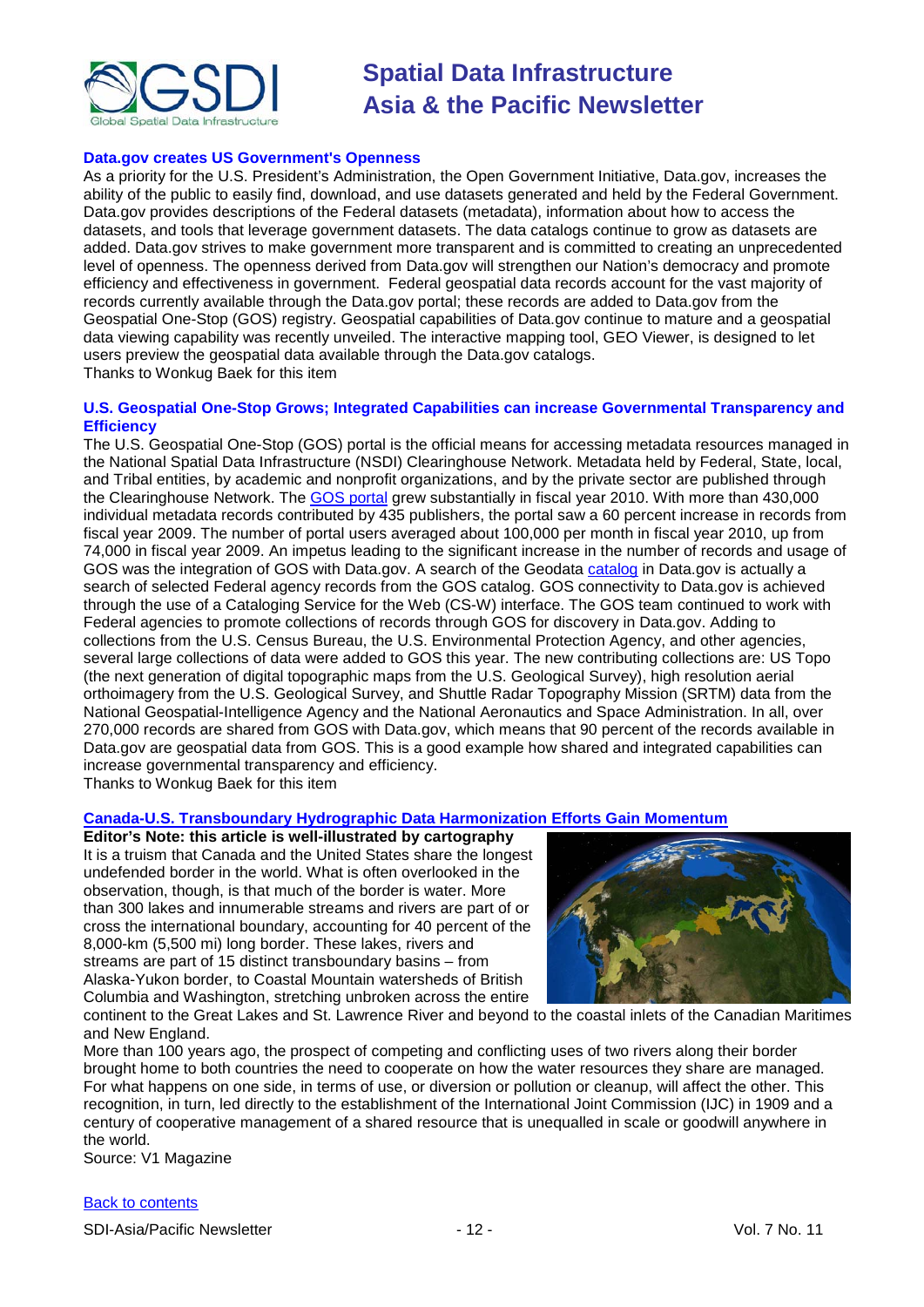

#### **Data.gov creates US Government's Openness**

As a priority for the U.S. President's Administration, the Open Government Initiative, Data.gov, increases the ability of the public to easily find, download, and use datasets generated and held by the Federal Government. Data.gov provides descriptions of the Federal datasets (metadata), information about how to access the datasets, and tools that leverage government datasets. The data catalogs continue to grow as datasets are added. Data.gov strives to make government more transparent and is committed to creating an unprecedented level of openness. The openness derived from Data.gov will strengthen our Nation's democracy and promote efficiency and effectiveness in government. Federal geospatial data records account for the vast majority of records currently available through the Data.gov portal; these records are added to Data.gov from the Geospatial One-Stop (GOS) registry. Geospatial capabilities of Data.gov continue to mature and a geospatial data viewing capability was recently unveiled. The interactive mapping tool, GEO Viewer, is designed to let users preview the geospatial data available through the Data.gov catalogs. Thanks to Wonkug Baek for this item

#### **U.S. Geospatial One-Stop Grows; Integrated Capabilities can increase Governmental Transparency and Efficiency**

The U.S. Geospatial One-Stop (GOS) portal is the official means for accessing metadata resources managed in the National Spatial Data Infrastructure (NSDI) Clearinghouse Network. Metadata held by Federal, State, local, and Tribal entities, by academic and nonprofit organizations, and by the private sector are published through the Clearinghouse Network. The [GOS portal](http://gos2.geodata.gov/wps/portal/gos) grew substantially in fiscal year 2010. With more than 430,000 individual metadata records contributed by 435 publishers, the portal saw a 60 percent increase in records from fiscal year 2009. The number of portal users averaged about 100,000 per month in fiscal year 2010, up from 74,000 in fiscal year 2009. An impetus leading to the significant increase in the number of records and usage of GOS was the integration of GOS with Data.gov. A search of the Geodata [catalog](http://www.data.gov/catalog/geodata) in Data.gov is actually a search of selected Federal agency records from the GOS catalog. GOS connectivity to Data.gov is achieved through the use of a Cataloging Service for the Web (CS-W) interface. The GOS team continued to work with Federal agencies to promote collections of records through GOS for discovery in Data.gov. Adding to collections from the U.S. Census Bureau, the U.S. Environmental Protection Agency, and other agencies, several large collections of data were added to GOS this year. The new contributing collections are: US Topo (the next generation of digital topographic maps from the U.S. Geological Survey), high resolution aerial orthoimagery from the U.S. Geological Survey, and Shuttle Radar Topography Mission (SRTM) data from the National Geospatial-Intelligence Agency and the National Aeronautics and Space Administration. In all, over 270,000 records are shared from GOS with Data.gov, which means that 90 percent of the records available in Data.gov are geospatial data from GOS. This is a good example how shared and integrated capabilities can increase governmental transparency and efficiency.

Thanks to Wonkug Baek for this item

#### **Canada-U.S. Transboundary [Hydrographic Data Harmonization Efforts Gain](http://www.vector1media.com/articles/features/16076-canada-us-transboundary-hydrographic-data-harmonization-efforts-gain-momentum) Momentum**

**Editor's Note: this article is well-illustrated by cartography** It is a truism that Canada and the United States share the longest undefended border in the world. What is often overlooked in the observation, though, is that much of the border is water. More than 300 lakes and innumerable streams and rivers are part of or cross the international boundary, accounting for 40 percent of the 8,000-km (5,500 mi) long border. These lakes, rivers and streams are part of 15 distinct transboundary basins – from Alaska-Yukon border, to Coastal Mountain watersheds of British Columbia and Washington, stretching unbroken across the entire



continent to the Great Lakes and St. Lawrence River and beyond to the coastal inlets of the Canadian Maritimes and New England.

More than 100 years ago, the prospect of competing and conflicting uses of two rivers along their border brought home to both countries the need to cooperate on how the water resources they share are managed. For what happens on one side, in terms of use, or diversion or pollution or cleanup, will affect the other. This recognition, in turn, led directly to the establishment of the International Joint Commission (IJC) in 1909 and a century of cooperative management of a shared resource that is unequalled in scale or goodwill anywhere in the world.

Source: V1 Magazine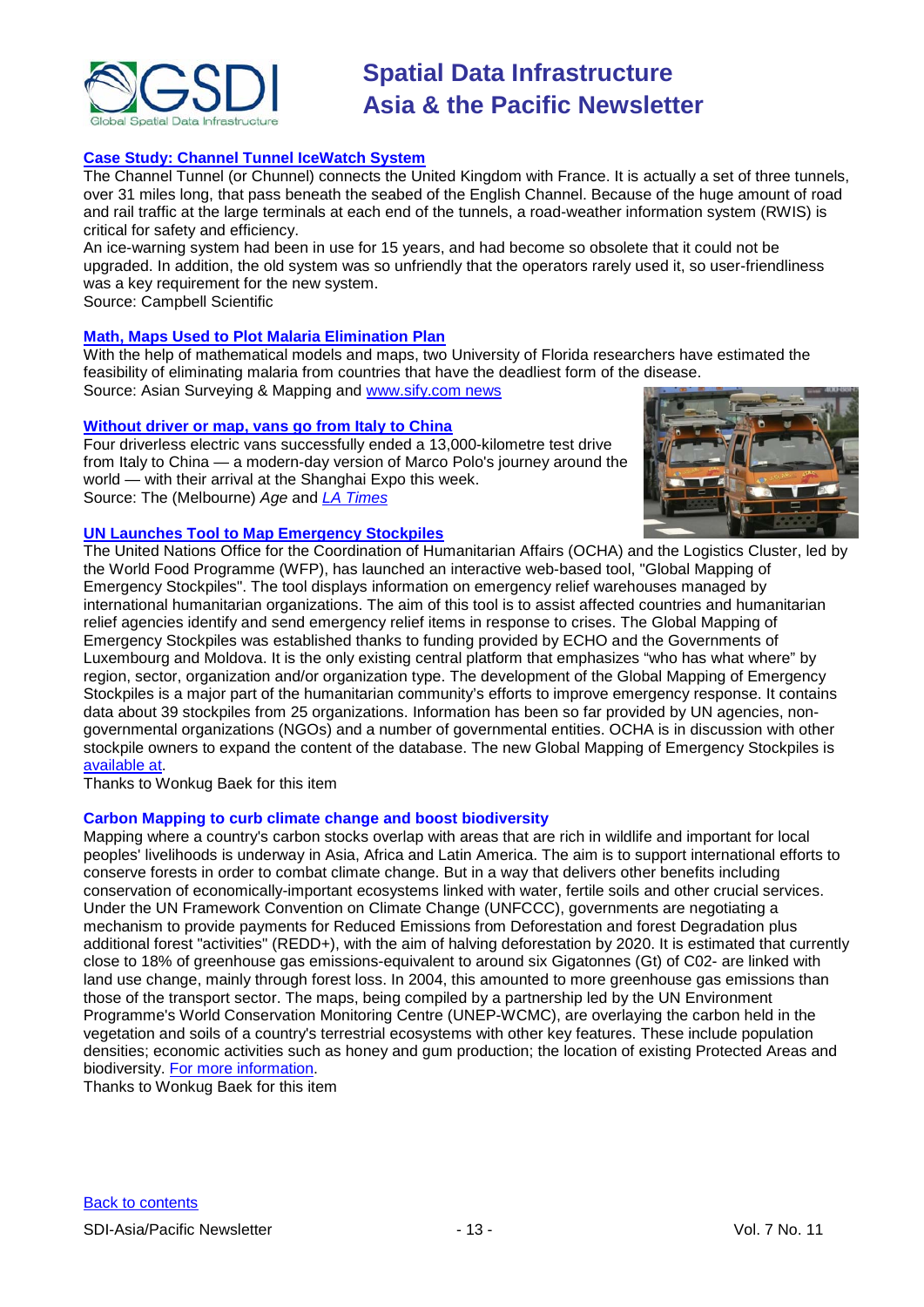

## **[Case Study: Channel Tunnel IceWatch System](http://www.campbellsci.com/news-2010-q4/channel-tunnel)**

The Channel Tunnel (or Chunnel) connects the United Kingdom with France. It is actually a set of three tunnels, over 31 miles long, that pass beneath the seabed of the English Channel. Because of the huge amount of road and rail traffic at the large terminals at each end of the tunnels, a road-weather information system (RWIS) is critical for safety and efficiency.

An ice-warning system had been in use for 15 years, and had become so obsolete that it could not be upgraded. In addition, the old system was so unfriendly that the operators rarely used it, so user-friendliness was a key requirement for the new system.

Source: Campbell Scientific

#### **[Math, Maps Used to Plot Malaria Elimination Plan](http://asmmag.com/news/math-maps-used-to-plot-malaria-elimination-plan)**

With the help of mathematical models and maps, two University of Florida researchers have estimated the feasibility of eliminating malaria from countries that have the deadliest form of the disease.

Source: Asian Surveying & Mapping and [www.sify.com news](http://sify.com/news/math-maps-used-to-plot-malaria-elimination-plan-news-international-kk4mkhfhbhe.html)

#### **[Without driver or map, vans go from Italy to China](http://www.theage.com.au/technology/technology-news/without-driver-or-map-vans-go-from-italy-to-china-20101029-176ja.html)**

Four driverless electric vans successfully ended a 13,000-kilometre test drive from Italy to China — a modern-day version of Marco Polo's journey around the world — with their arrival at the Shanghai Expo this week. Source: The (Melbourne) *Age* and *[LA Times](http://www.latimes.com/news/nationworld/world/la-fgw-driverless-vans-20101029,0,2219194.story)*



#### **UN Launches Tool to Map Emergency Stockpiles**

The United Nations Office for the Coordination of Humanitarian Affairs (OCHA) and the Logistics Cluster, led by the World Food Programme (WFP), has launched an interactive web-based tool, "Global Mapping of Emergency Stockpiles". The tool displays information on emergency relief warehouses managed by international humanitarian organizations. The aim of this tool is to assist affected countries and humanitarian relief agencies identify and send emergency relief items in response to crises. The Global Mapping of Emergency Stockpiles was established thanks to funding provided by ECHO and the Governments of Luxembourg and Moldova. It is the only existing central platform that emphasizes "who has what where" by region, sector, organization and/or organization type. The development of the Global Mapping of Emergency Stockpiles is a major part of the humanitarian community's efforts to improve emergency response. It contains data about 39 stockpiles from 25 organizations. Information has been so far provided by UN agencies, nongovernmental organizations (NGOs) and a number of governmental entities. OCHA is in discussion with other stockpile owners to expand the content of the database. The new Global Mapping of Emergency Stockpiles is [available at.](http://www.humanitarianinfo.org/stockmap)

Thanks to Wonkug Baek for this item

#### **Carbon Mapping to curb climate change and boost biodiversity**

Mapping where a country's carbon stocks overlap with areas that are rich in wildlife and important for local peoples' livelihoods is underway in Asia, Africa and Latin America. The aim is to support international efforts to conserve forests in order to combat climate change. But in a way that delivers other benefits including conservation of economically-important ecosystems linked with water, fertile soils and other crucial services. Under the UN Framework Convention on Climate Change (UNFCCC), governments are negotiating a mechanism to provide payments for Reduced Emissions from Deforestation and forest Degradation plus additional forest "activities" (REDD+), with the aim of halving deforestation by 2020. It is estimated that currently close to 18% of greenhouse gas emissions-equivalent to around six Gigatonnes (Gt) of C02- are linked with land use change, mainly through forest loss. In 2004, this amounted to more greenhouse gas emissions than those of the transport sector. The maps, being compiled by a partnership led by the UN Environment Programme's World Conservation Monitoring Centre (UNEP-WCMC), are overlaying the carbon held in the vegetation and soils of a country's terrestrial ecosystems with other key features. These include population densities; economic activities such as honey and gum production; the location of existing Protected Areas and biodiversity. [For more information.](http://unep.org/Documents.Multilingual/Default.asp?DocumentID=649&ArticleID=6786&l=en&t=long)

Thanks to Wonkug Baek for this item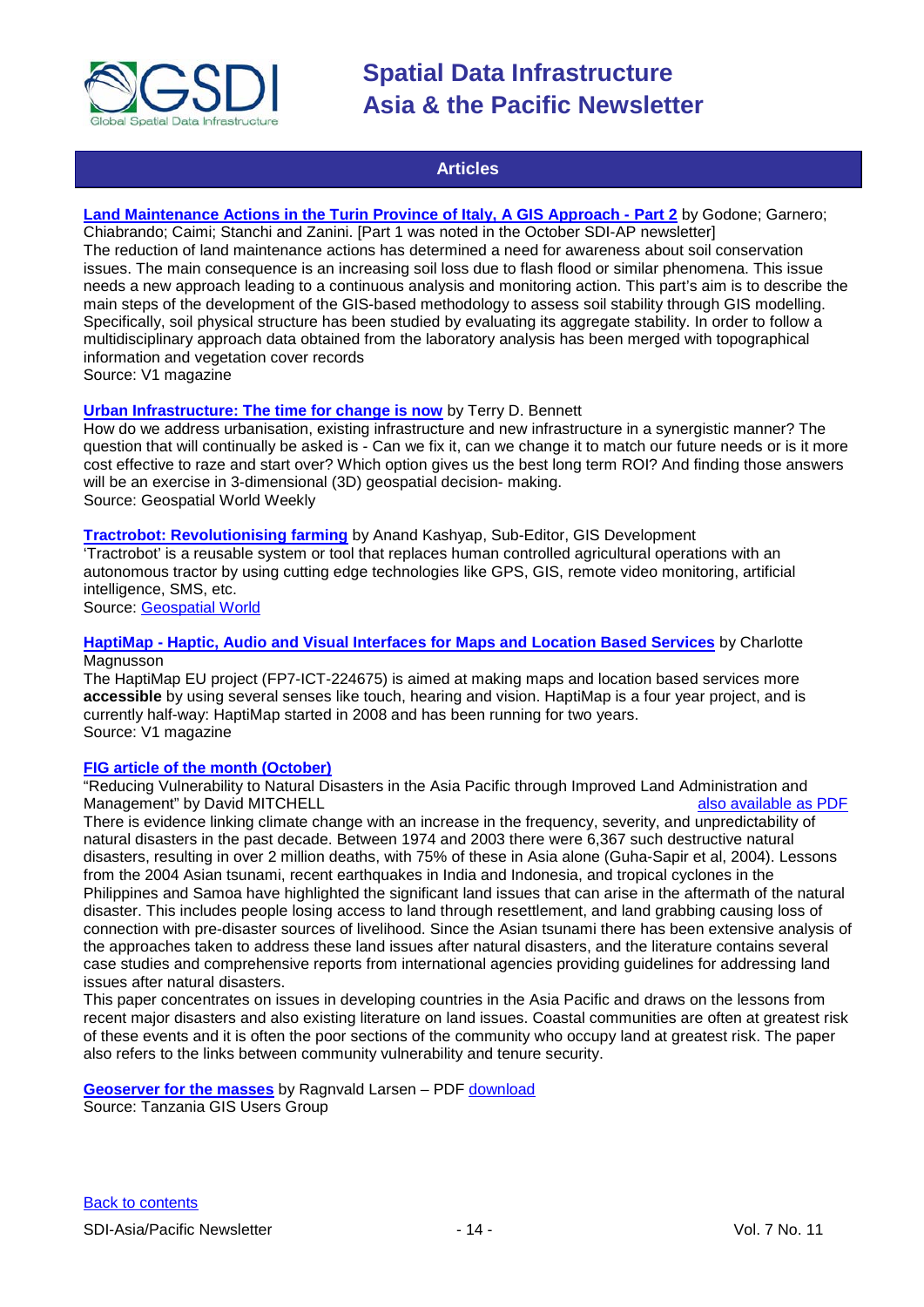

## **Articles**

## <span id="page-13-0"></span>**[Land Maintenance Actions in the Turin Province of Italy, A GIS Approach -](http://www.vector1media.com/articles/features/15924-land-maintenance-actions-in-the-turin-province-of-italy-a-gis-approach-part-2) Part 2** by Godone; Garnero;

Chiabrando; Caimi; Stanchi and Zanini. [Part 1 was noted in the October SDI-AP newsletter] The reduction of land maintenance actions has determined a need for awareness about soil conservation issues. The main consequence is an increasing soil loss due to flash flood or similar phenomena. This issue needs a new approach leading to a continuous analysis and monitoring action. This part's aim is to describe the main steps of the development of the GIS-based methodology to assess soil stability through GIS modelling. Specifically, soil physical structure has been studied by evaluating its aggregate stability. In order to follow a multidisciplinary approach data obtained from the laboratory analysis has been merged with topographical information and vegetation cover records Source: V1 magazine

#### **Urban [Infrastructure: The time for change is now](http://www.gisdevelopment.net/magazine/global/2010/september/30-Urban-Infrastructure-The-time-for-change-is-now.htm)** by Terry D. Bennett

How do we address urbanisation, existing infrastructure and new infrastructure in a synergistic manner? The question that will continually be asked is - Can we fix it, can we change it to match our future needs or is it more cost effective to raze and start over? Which option gives us the best long term ROI? And finding those answers will be an exercise in 3-dimensional (3D) geospatial decision- making. Source: Geospatial World Weekly

**[Tractrobot: Revolutionising farming](http://www.geospatialworld.net/index.php?option=com_content&view=article&id=18688%3Atractrobot-revolutionising-farming&catid=170%3Aagriculture-precision-farming&Itemid=41)** by Anand Kashyap, Sub-Editor, GIS Development

'Tractrobot' is a reusable system or tool that replaces human controlled agricultural operations with an autonomous tractor by using cutting edge technologies like GPS, GIS, remote video monitoring, artificial intelligence, SMS, etc.

Source: [Geospatial World](http://www.geospatialworld.net/)

#### **HaptiMap - [Haptic, Audio and Visual Interfaces for Maps and Location Based Services](http://www.vector1media.com/articles/features/16062-haptimap-haptic-audio-and-visual-interfaces-for-maps-and-location-based-services)** by Charlotte Magnusson

The HaptiMap EU project (FP7-ICT-224675) is aimed at making maps and location based services more **accessible** by using several senses like touch, hearing and vision. HaptiMap is a four year project, and is currently half-way: HaptiMap started in 2008 and has been running for two years. Source: V1 magazine

## **[FIG article of the month \(October\)](http://www.fig.net/pub/monthly_articles/october_2010/october_2010_mitchell.html)**

"Reducing Vulnerability to Natural Disasters in the Asia Pacific through Improved Land Administration and<br>Management" by David MITCHELL Management" by David MITCHELL

There is evidence linking climate change with an increase in the frequency, severity, and unpredictability of natural disasters in the past decade. Between 1974 and 2003 there were 6,367 such destructive natural disasters, resulting in over 2 million deaths, with 75% of these in Asia alone (Guha-Sapir et al, 2004). Lessons from the 2004 Asian tsunami, recent earthquakes in India and Indonesia, and tropical cyclones in the Philippines and Samoa have highlighted the significant land issues that can arise in the aftermath of the natural disaster. This includes people losing access to land through resettlement, and land grabbing causing loss of connection with pre-disaster sources of livelihood. Since the Asian tsunami there has been extensive analysis of the approaches taken to address these land issues after natural disasters, and the literature contains several case studies and comprehensive reports from international agencies providing guidelines for addressing land issues after natural disasters.

This paper concentrates on issues in developing countries in the Asia Pacific and draws on the lessons from recent major disasters and also existing literature on land issues. Coastal communities are often at greatest risk of these events and it is often the poor sections of the community who occupy land at greatest risk. The paper also refers to the links between community vulnerability and tenure security.

#### **Geoserver for the masses** by Ragnvald Larsen – PDF [download](http://www.tzgisug.org/tikiwiki/tiki-download_file.php?fileId=122) Source: Tanzania GIS Users Group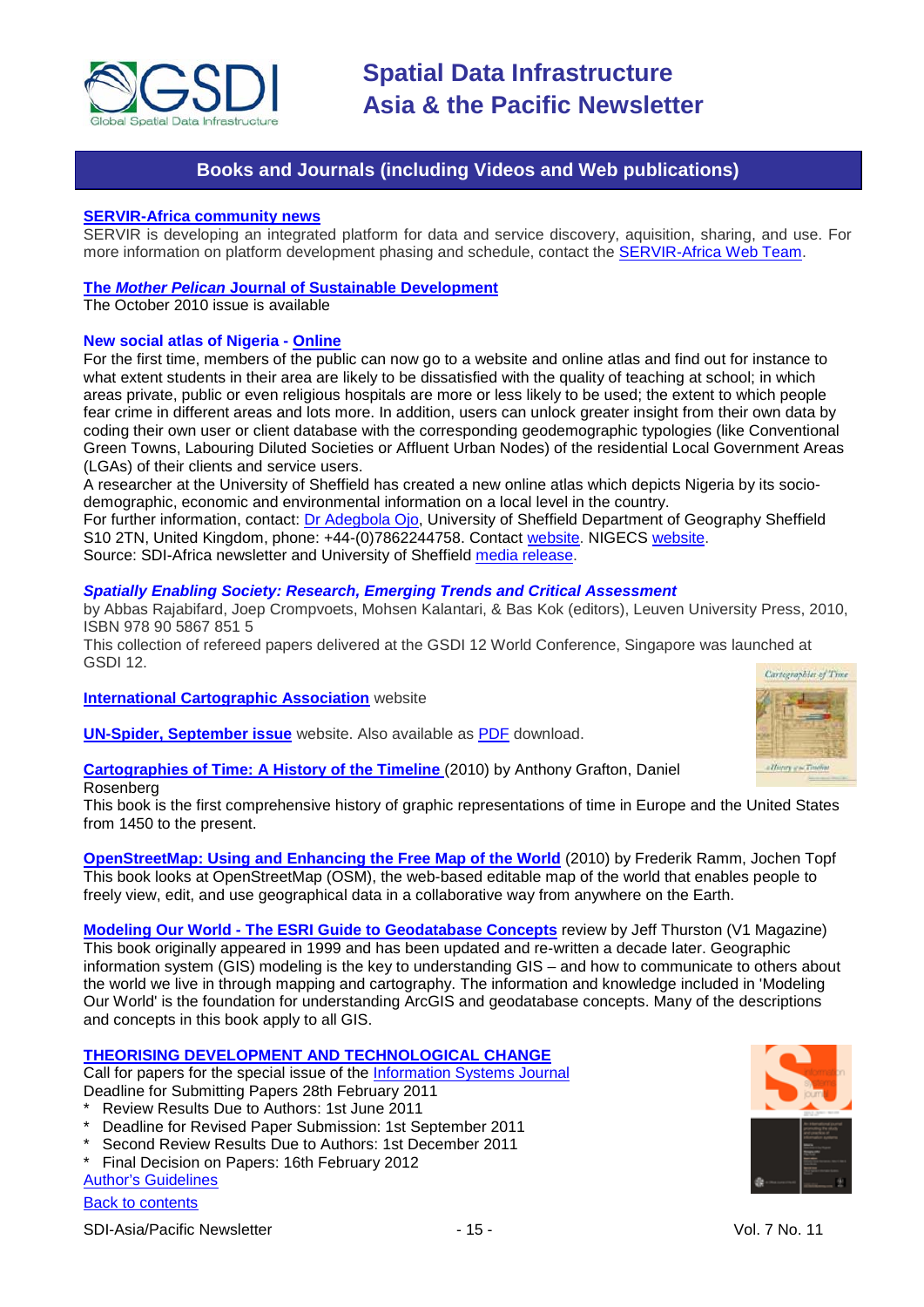

## **Books and Journals (including Videos and Web publications)**

#### <span id="page-14-0"></span>**[SERVIR-Africa community news](http://www.servir.net/africa/index.php?option=com_mamblog&Itemid=54&task=show&action=all&id=0&ignorecount=1)**

SERVIR is developing an integrated platform for data and service discovery, aquisition, sharing, and use. For more information on platform development phasing and schedule, contact the [SERVIR-Africa Web Team.](http://www.servir.net/africa/index.php?option=com_contact&task=view&contact_id=1&Itemid=106)

#### **The** *Mother Pelican* **[Journal of Sustainable](http://www.pelicanweb.org/solisustv06n10page1.html) Development**

The October 2010 issue is available

#### **New social atlas of Nigeria - [Online](http://www.nigerianlgaclassification.com/)**

For the first time, members of the public can now go to a website and online atlas and find out for instance to what extent students in their area are likely to be dissatisfied with the quality of teaching at school; in which areas private, public or even religious hospitals are more or less likely to be used; the extent to which people fear crime in different areas and lots more. In addition, users can unlock greater insight from their own data by coding their own user or client database with the corresponding geodemographic typologies (like Conventional Green Towns, Labouring Diluted Societies or Affluent Urban Nodes) of the residential Local Government Areas (LGAs) of their clients and service users.

A researcher at the University of Sheffield has created a new online atlas which depicts Nigeria by its sociodemographic, economic and environmental information on a local level in the country.

For further information, contact: [Dr Adegbola Ojo,](mailto:A.ojo@adegbolaojo.co.uk) University of Sheffield Department of Geography Sheffield S10 2TN, United Kingdom, phone: +44-(0)7862244758. Contact [website.](http://www.adegbolaojo.co.uk/) NIGECS [website.](http://www.nigerianlgaclassification.com/)

Source: SDI-Africa newsletter and University of Sheffield [media release.](http://www.shef.ac.uk/mediacentre/2010/1756.html)

### *Spatially Enabling Society: Research, Emerging Trends and Critical Assessment*

by Abbas Rajabifard, Joep Crompvoets, Mohsen Kalantari, & Bas Kok (editors), Leuven University Press, 2010, ISBN 978 90 5867 851 5

This collection of refereed papers delivered at the GSDI 12 World Conference, Singapore was launched at GSDI 12.

**[International Cartographic Association](http://icaci.org/)** website

**[UN-Spider, September issue](http://www.un-spider.org/about/updates/september-2010)** website. Also available as [PDF](http://www.un-spider.org/sites/default/files/09%202010%20UN-SPIDER%20Updates.pdf) download.

**[Cartographies of Time: A History of the Timeline](http://www.amazon.com/gp/product/1568987633?ie=UTF8&tag=vectmedi-20&creativeASIN=1568987633)** (2010) by Anthony Grafton, Daniel Rosenberg

This book is the first comprehensive history of graphic representations of time in Europe and the United States from 1450 to the present.

**[OpenStreetMap: Using and Enhancing the Free Map of the World](http://www.amazon.com/gp/product/1906860114?ie=UTF8&tag=vectmedi-20&linkCode=xm2&creativeASIN=1906860114)** (2010) by Frederik Ramm, Jochen Topf This book looks at OpenStreetMap (OSM), the web-based editable map of the world that enables people to freely view, edit, and use geographical data in a collaborative way from anywhere on the Earth.

**Modeling Our World - [The ESRI Guide to Geodatabase Concepts](http://www.vector1media.com/articles/reviews/16204-modeling-our-world-the-esri-guide-to-geodatabase-concepts)** review by Jeff Thurston (V1 Magazine) This book originally appeared in 1999 and has been updated and re-written a decade later. Geographic information system (GIS) modeling is the key to understanding GIS – and how to communicate to others about the world we live in through mapping and cartography. The information and knowledge included in 'Modeling Our World' is the foundation for understanding ArcGIS and geodatabase concepts. Many of the descriptions and concepts in this book apply to all GIS.

#### **THEORISING DEVELOPMENT AND TECHNOLOGICAL CHANGE**

Call for papers for the special issue of the [Information Systems Journal](http://disc.brunel.ac.uk/isj/) Deadline for Submitting Papers 28th February 2011

- Review Results Due to Authors: 1st June 2011
- Deadline for Revised Paper Submission: 1st September 2011
- Second Review Results Due to Authors: 1st December 2011
- Final Decision on Papers: 16th February 2012

#### [Author's Guidelines](http://www.blackwellpublishing.com/journals/isj/submiss.htm)

#### [Back to contents](#page-0-0)

SDI-Asia/Pacific Newsletter  $\overline{15}$  - 15 -  $\overline{15}$  -  $\overline{10}$  Vol. 7 No. 11



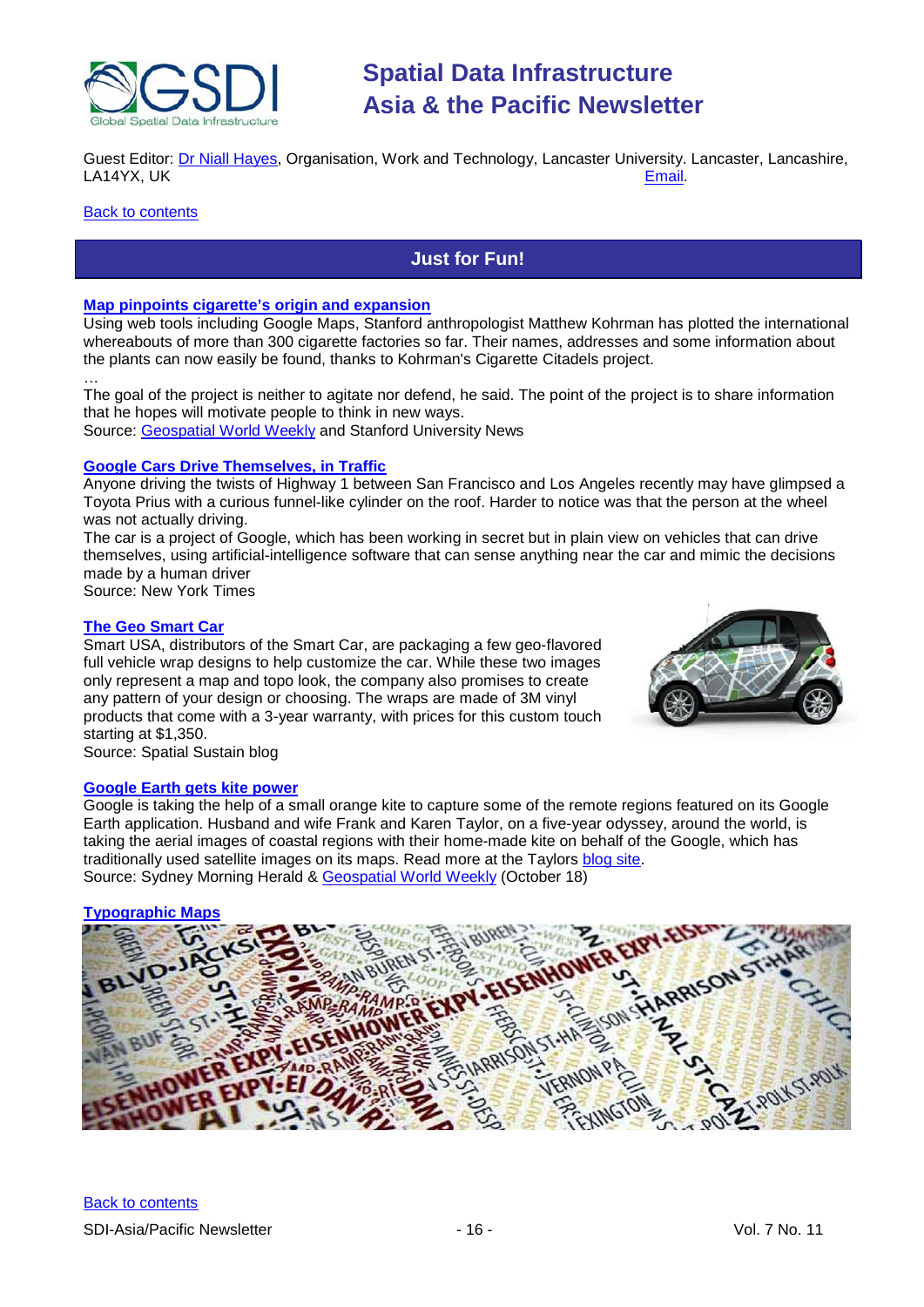

Guest Editor: **Dr Niall Hayes, Organisation, Work and Technology, Lancaster University. Lancaster, Lancashire,**<br>LA14YX, UK<br>Email. LA14YX, UK

#### <span id="page-15-0"></span>**[Back to contents](#page-0-0)**

## **Just for Fun!**

## **[Map pinpoints cigarette's origin and expansion](http://news.stanford.edu/news/2010/october/cigarette-citadels-project-100410.html)**

Using web tools including Google Maps, Stanford anthropologist Matthew Kohrman has plotted the international whereabouts of more than 300 cigarette factories so far. Their names, addresses and some information about the plants can now easily be found, thanks to Kohrman's Cigarette Citadels project.

… The goal of the project is neither to agitate nor defend, he said. The point of the project is to share information that he hopes will motivate people to think in new ways. Source: [Geospatial World Weekly](http://www.geospatialworld.net/index.php?option=com_content&view=article&id=18604%3Amap-pinpoints-cigarettes-origin-and-expansion&catid=56%3Aapplication-health&Itemid=1) and Stanford University News

#### **[Google Cars Drive Themselves, in Traffic](http://www.nytimes.com/2010/10/10/science/10google.html?_r=2&hp)**

Anyone driving the twists of Highway 1 between San Francisco and Los Angeles recently may have glimpsed a [Toyota Prius](http://autos.nytimes.com/2010/Toyota/Prius/286/3326/310054/researchOverview.aspx?inline=nyt-classifier) with a curious funnel-like cylinder on the roof. Harder to notice was that the person at the wheel was not actually driving.

The car is a project of [Google,](http://topics.nytimes.com/top/news/business/companies/google_inc/index.html?inline=nyt-org) which has been working in secret but in plain view on vehicles that can drive themselves, using artificial-intelligence software that can sense anything near the car and mimic the decisions made by a human driver

Source: New York Times

#### **[The Geo Smart Car](http://vector1media.com/spatialsustain/whos-up-for-a-geo-smart-car.html)**

Smart USA, distributors of the Smart Car, are packaging a few geo-flavored full vehicle wrap designs to help customize the car. While these two images only represent a map and topo look, the company also promises to create any pattern of your design or choosing. The wraps are made of 3M vinyl products that come with a 3-year warranty, with prices for this custom touch starting at \$1,350.



Source: Spatial Sustain blog

#### **[Google Earth gets kite power](http://www.smh.com.au/digital-life/digital-life-news/kite-power-changes-face-of-google-earth-20101014-16kjb.html)**

Google is taking the help of a small orange kite to capture some of the remote regions featured on its Google Earth application. Husband and wife Frank and Karen Taylor, on a five-year odyssey, around the world, is taking the aerial images of coastal regions with their home-made kite on behalf of the Google, which has traditionally used satellite images on its maps. Read more at the Taylors [blog site.](http://www.tahinaexpedition.com/2010/10/kite-photos-of-manihi-village-now-in-google-earth.html) Source: Sydney Morning Herald & [Geospatial World Weekly](http://www.geospatialworld.net/index.php?option=com_content&view=article&id=18682%3Agoogle-earth-gets-kite-power&catid=44&Itemid=28&Itemid=1) (October 18)

#### **[Typographic Maps](http://www.axismaps.com/typographic.php)**

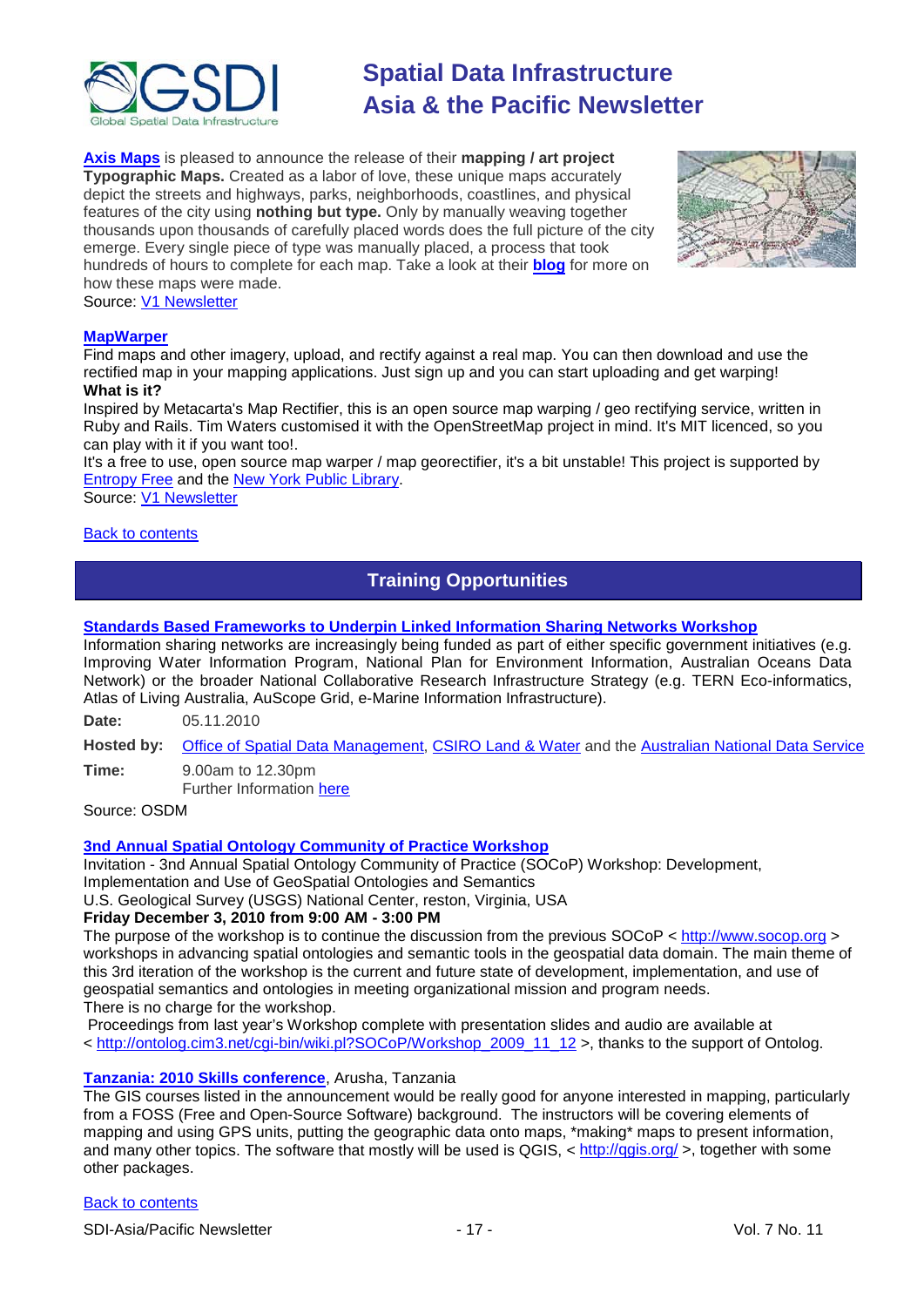

**[Axis Maps](http://www.axismaps.com/index.php)** is pleased to announce the release of their **mapping / art project Typographic Maps.** Created as a labor of love, these unique maps accurately depict the streets and highways, parks, neighborhoods, coastlines, and physical features of the city using **nothing but type.** Only by manually weaving together thousands upon thousands of carefully placed words does the full picture of the city emerge. Every single piece of type was manually placed, a process that took hundreds of hours to complete for each map. Take a look at their **[blog](http://www.axismaps.com/blog/2010/09/typographic-map-posters/)** for more on how these maps were made.



Source: [V1 Newsletter](http://vector1media.com/resources/newsletter)

#### **[MapWarper](http://mapwarper.net/)**

Find maps and other imagery, upload, and rectify against a real map. You can then download and use the rectified map in your mapping applications. Just sign up and you can start uploading and get warping! **What is it?**

Inspired by Metacarta's Map Rectifier, this is an open source map warping / geo rectifying service, written in Ruby and Rails. Tim Waters customised it with the OpenStreetMap project in mind. It's MIT licenced, so you can play with it if you want too!.

It's a free to use, open source map warper / map georectifier, it's a bit unstable! This project is supported by [Entropy Free](http://entropyfree.com/) and the [New York Public Library.](http://maps.nypl.org/)

Source: [V1 Newsletter](http://www.vector1media.com/resources/newsletter/15861-v1-newsletter-vol-4-issue-40)

<span id="page-16-0"></span>**[Back to contents](#page-0-0)** 

## **Training Opportunities**

### **[Standards Based Frameworks to Underpin Linked Information Sharing Networks Workshop](http://www.osdm.gov.au/Events/271.aspx)**

Information sharing networks are increasingly being funded as part of either specific government initiatives (e.g. Improving Water Information Program, National Plan for Environment Information, Australian Oceans Data Network) or the broader National Collaborative Research Infrastructure Strategy (e.g. TERN Eco-informatics, Atlas of Living Australia, AuScope Grid, e-Marine Information Infrastructure).

**Date:** 05.11.2010

**Hosted by:** Office of Spatial Data Management[, CSIRO Land & Water](http://www.clw.csiro.au/) and the [Australian National Data Service](http://www.ands.org.au/)

**Time:** 9.00am to 12.30pm Further Information [here](http://www.osdm.gov.au/Events/271.aspx)

Source: OSDM

## **[3nd Annual Spatial Ontology Community of Practice Workshop](http://www.fgdc.gov/fgdc-news/spatial-ontology-cop-workshop)**

Invitation - 3nd Annual Spatial Ontology Community of Practice (SOCoP) Workshop: Development, Implementation and Use of GeoSpatial Ontologies and Semantics

U.S. Geological Survey (USGS) National Center, reston, Virginia, USA

## **Friday December 3, 2010 from 9:00 AM - 3:00 PM**

The purpose of the workshop is to continue the discussion from the previous SOCoP < [http://www.socop.org](http://www.socop.org/) > workshops in advancing spatial ontologies and semantic tools in the geospatial data domain. The main theme of this 3rd iteration of the workshop is the current and future state of development, implementation, and use of geospatial semantics and ontologies in meeting organizational mission and program needs. There is no charge for the workshop.

Proceedings from last year's Workshop complete with presentation slides and audio are available at < [http://ontolog.cim3.net/cgi-bin/wiki.pl?SOCoP/Workshop\\_2009\\_11\\_12](http://ontolog.cim3.net/cgi-bin/wiki.pl?SOCoP/Workshop_2009_11_12) >, thanks to the support of Ontolog.

## **[Tanzania: 2010 Skills conference](http://www.tzcrc.org/skills/tikiwiki/tiki-index.php)**, Arusha, Tanzania

The GIS courses listed in the announcement would be really good for anyone interested in mapping, particularly from a FOSS (Free and Open-Source Software) background. The instructors will be covering elements of mapping and using GPS units, putting the geographic data onto maps, \*making\* maps to present information, and many other topics. The software that mostly will be used is QGIS, < http://ggis.org/>, together with some other packages.

#### [Back to contents](#page-0-0)

SDI-Asia/Pacific Newsletter  $\sim$  17 - 17 - Vol. 7 No. 11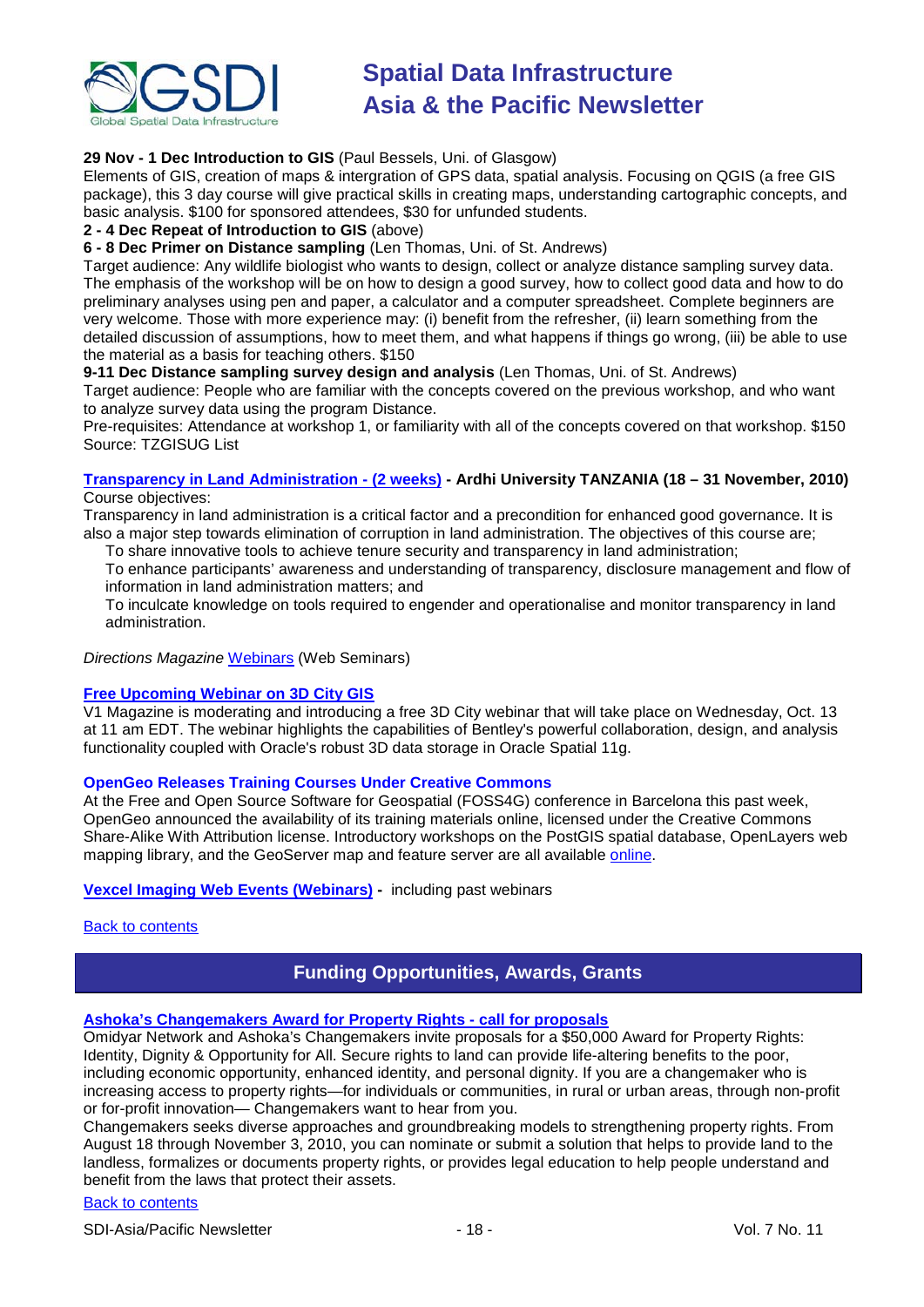

## **29 Nov - 1 Dec Introduction to GIS** (Paul Bessels, Uni. of Glasgow)

Elements of GIS, creation of maps & intergration of GPS data, spatial analysis. Focusing on QGIS (a free GIS package), this 3 day course will give practical skills in creating maps, understanding cartographic concepts, and basic analysis. \$100 for sponsored attendees, \$30 for unfunded students.

#### **2 - 4 Dec Repeat of Introduction to GIS** (above)

**6 - 8 Dec Primer on Distance sampling** (Len Thomas, Uni. of St. Andrews)

Target audience: Any wildlife biologist who wants to design, collect or analyze distance sampling survey data. The emphasis of the workshop will be on how to design a good survey, how to collect good data and how to do preliminary analyses using pen and paper, a calculator and a computer spreadsheet. Complete beginners are very welcome. Those with more experience may: (i) benefit from the refresher, (ii) learn something from the detailed discussion of assumptions, how to meet them, and what happens if things go wrong, (iii) be able to use the material as a basis for teaching others. \$150

#### **9-11 Dec Distance sampling survey design and analysis** (Len Thomas, Uni. of St. Andrews)

Target audience: People who are familiar with the concepts covered on the previous workshop, and who want to analyze survey data using the program Distance.

Pre-requisites: Attendance at workshop 1, or familiarity with all of the concepts covered on that workshop. \$150 Source: TZGISUG List

#### **[Transparency in Land Administration -](http://www.aru.ac.tz/page.php?id=136) (2 weeks) - Ardhi University TANZANIA (18 – 31 November, 2010)** Course objectives:

Transparency in land administration is a critical factor and a precondition for enhanced good governance. It is also a major step towards elimination of corruption in land administration. The objectives of this course are;

To share innovative tools to achieve tenure security and transparency in land administration;

To enhance participants' awareness and understanding of transparency, disclosure management and flow of information in land administration matters; and

To inculcate knowledge on tools required to engender and operationalise and monitor transparency in land administration.

*Directions Magazine* [Webinars](http://www.directionsmag.com/webinars/) (Web Seminars)

## **[Free Upcoming Webinar on 3D City GIS](http://asmmag.com/news/free-upcoming-webinar-on-3d-city-gis)**

V1 Magazine is moderating and introducing a free 3D City webinar that will take place on Wednesday, Oct. 13 at 11 am EDT. The webinar highlights the capabilities of Bentley's powerful collaboration, design, and analysis functionality coupled with Oracle's robust 3D data storage in Oracle Spatial 11g.

## **OpenGeo Releases Training Courses Under Creative Commons**

At the Free and Open Source Software for Geospatial (FOSS4G) conference in Barcelona this past week, OpenGeo announced the availability of its training materials online, licensed under the Creative Commons Share-Alike With Attribution license. Introductory workshops on the PostGIS spatial database, OpenLayers web mapping library, and the GeoServer map and feature server are all available [online.](http://www.workshops.opengeo.org/)

#### **[Vexcel Imaging Web Events](http://www.microsoft.com/ultracam/en-us/WebEvents.aspx) (Webinars) -** including past webinars

<span id="page-17-0"></span>[Back to contents](#page-0-0)

## **Funding Opportunities, Awards, Grants**

## **[Ashoka's Changemakers Award for Property Rights -](http://www.changemakers.com/en-us/property-rights) call for proposals**

Omidyar Network and Ashoka's Changemakers invite proposals for a \$50,000 Award for Property Rights: Identity, Dignity & Opportunity for All. Secure rights to land can provide life-altering benefits to the poor, including economic opportunity, enhanced identity, and personal dignity. If you are a changemaker who is increasing access to property rights—for individuals or communities, in rural or urban areas, through non-profit or for-profit innovation— Changemakers want to hear from you.

Changemakers seeks diverse approaches and groundbreaking models to strengthening property rights. From August 18 through November 3, 2010, you can nominate or submit a solution that helps to provide land to the landless, formalizes or documents property rights, or provides legal education to help people understand and benefit from the laws that protect their assets.

## [Back to contents](#page-0-0)

SDI-Asia/Pacific Newsletter  $\overline{18}$  - 18 -  $\overline{18}$  - Vol. 7 No. 11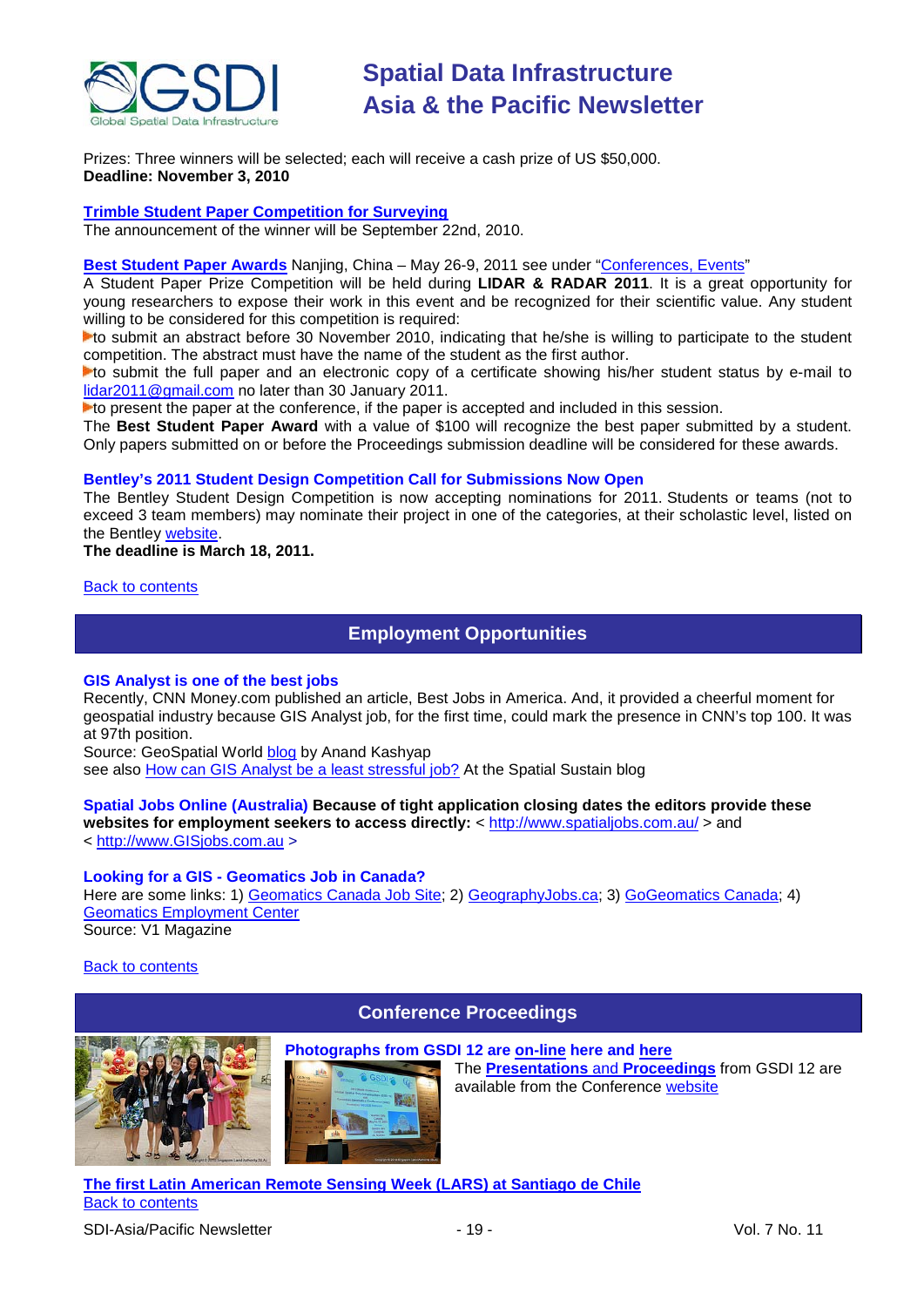

Prizes: Three winners will be selected; each will receive a cash prize of US \$50,000. **Deadline: November 3, 2010**

## **[Trimble Student Paper Competition for Surveying](http://www.trimbledimensions.com/StudentPaperPromotion/default.aspx)**

The announcement of the winner will be September 22nd, 2010.

#### **Best Student Paper Awards** Nanjing, China – May 26-9, 2011 see under ["Conferences, Events"](#page-20-0)

A Student Paper Prize Competition will be held during **LIDAR & RADAR 2011**. It is a great opportunity for young researchers to expose their work in this event and be recognized for their scientific value. Any student willing to be considered for this competition is required:

to submit an abstract before 30 November 2010, indicating that he/she is willing to participate to the student competition. The abstract must have the name of the student as the first author.

to submit the full paper and an electronic copy of a certificate showing his/her student status by e-mail to [lidar2011@gmail.com](mailto:lidar2011@gmail.com) no later than 30 January 2011.

to present the paper at the conference, if the paper is accepted and included in this session.

The **Best Student Paper Award** with a value of \$100 will recognize the best paper submitted by a student. Only papers submitted on or before the Proceedings submission deadline will be considered for these awards.

#### **Bentley's 2011 Student Design Competition Call for Submissions Now Open**

The Bentley Student Design Competition is now accepting nominations for 2011. Students or teams (not to exceed 3 team members) may nominate their project in one of the categories, at their scholastic level, listed on the Bentley [website.](http://www.bentley.com/en-US/Corporate/News/Quarter+3/2011+Submissions.htm?BI=homepage&v=news+submissions)

#### **The deadline is March 18, 2011.**

#### <span id="page-18-0"></span>[Back to contents](#page-0-0)

## **Employment Opportunities**

#### **GIS Analyst is one of the best jobs**

Recently, CNN Money.com published an article, Best Jobs in America. And, it provided a cheerful moment for geospatial industry because GIS Analyst job, for the first time, could mark the presence in CNN's top 100. It was [at 97th position.](http://money.cnn.com/magazines/moneymag/bestjobs/2010/snapshots/97.html)

Source: GeoSpatial World [blog](http://www.geospatialworld.net/index.php?option=com_blog&view=comments&pid=115&uid=9702) by Anand Kashyap

see also [How can GIS Analyst be a least stressful job?](http://vector1media.com/spatialsustain/how-can-gis-analyst-be-a-least-stressful-job.html) At the Spatial Sustain blog

## **Spatial Jobs Online (Australia) Because of tight application closing dates the editors provide these**

websites for employment seekers to access directly: <<http://www.spatialjobs.com.au/> > and < [http://www.GISjobs.com.au](http://www.gisjobs.com.au/) >

**Karat** 

## **Looking for a GIS - Geomatics Job in Canada?**

Here are some links: 1) [Geomatics Canada Job Site;](http://geomaticscanada.com/jobs.cfm) 2) [GeographyJobs.ca;](http://www.geographyjobs.ca/) 3) [GoGeomatics Canada;](http://canada.gogeomatics.net/frmHome.aspx) 4) [Geomatics Employment Center](http://gisjobs.ca/) Source: V1 Magazine

<span id="page-18-1"></span>[Back to contents](#page-0-0)

## **Conference Proceedings**



The **[Presentations](http://www.gsdi.org/gsdiconf/gsdi12/prog_details.html)** and **Proceedings** from GSDI 12 are available from the Conference [website](http://www.gsdi.org/gsdiconf/gsdi12/l)

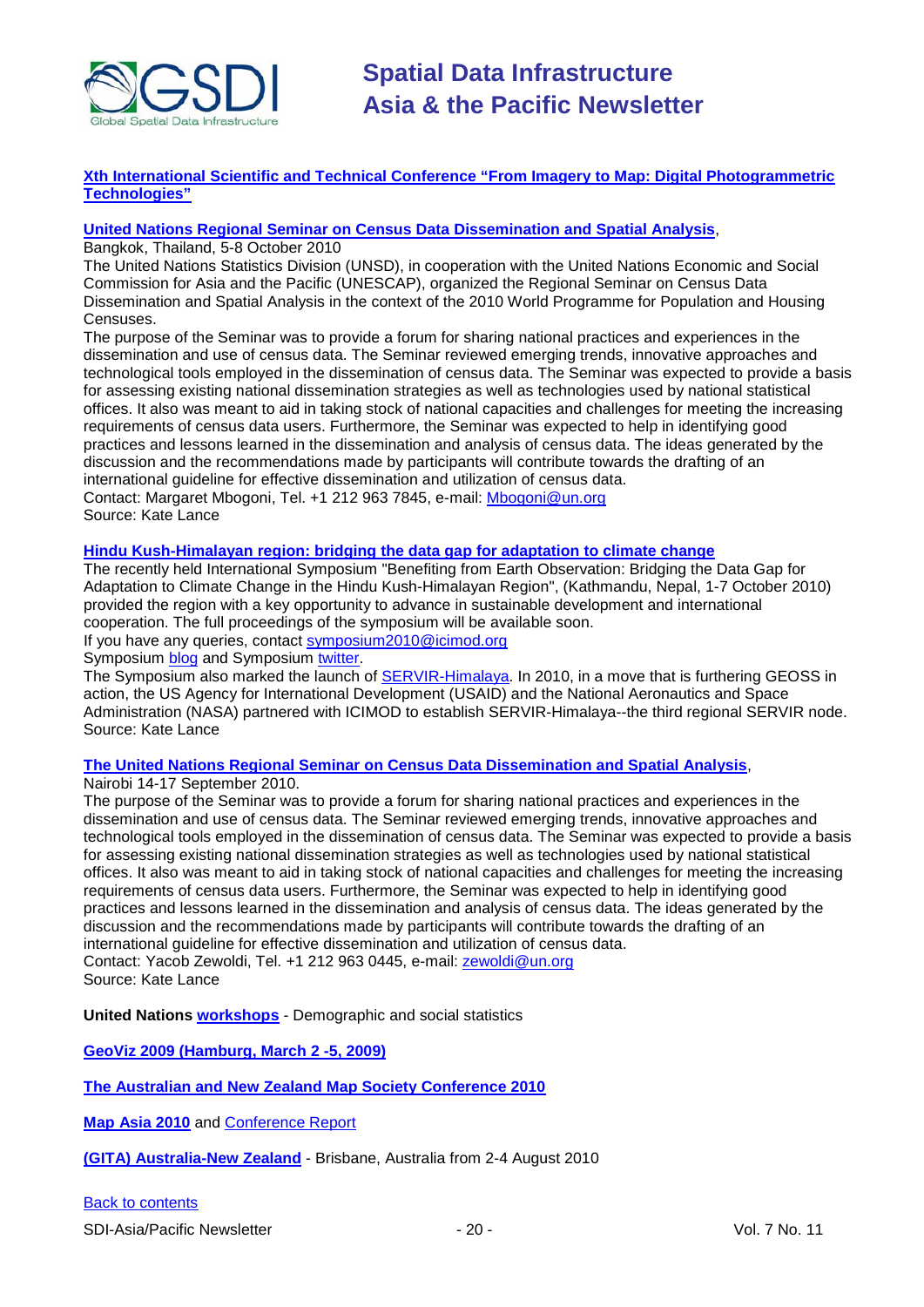

#### **[Xth International Scientific and Technical Conference "From Imagery to Map: Digital Photogrammetric](http://www.racurs.ru/Italy2010/en/)  [Technologies"](http://www.racurs.ru/Italy2010/en/)**

## **[United Nations Regional Seminar on Census Data Dissemination and Spatial Analysis](http://unstats.un.org/unsd/demographic/meetings/wshops/Thailand_5Oct10/default.htm)**,

Bangkok, Thailand, 5-8 October 2010

The United Nations Statistics Division (UNSD), in cooperation with the United Nations Economic and Social Commission for Asia and the Pacific (UNESCAP), organized the Regional Seminar on Census Data Dissemination and Spatial Analysis in the context of the 2010 World Programme for Population and Housing Censuses.

The purpose of the Seminar was to provide a forum for sharing national practices and experiences in the dissemination and use of census data. The Seminar reviewed emerging trends, innovative approaches and technological tools employed in the dissemination of census data. The Seminar was expected to provide a basis for assessing existing national dissemination strategies as well as technologies used by national statistical offices. It also was meant to aid in taking stock of national capacities and challenges for meeting the increasing requirements of census data users. Furthermore, the Seminar was expected to help in identifying good practices and lessons learned in the dissemination and analysis of census data. The ideas generated by the discussion and the recommendations made by participants will contribute towards the drafting of an international guideline for effective dissemination and utilization of census data. Contact: Margaret Mbogoni, Tel. +1 212 963 7845, e-mail[: Mbogoni@un.org](mailto:Mbogoni@un.org) Source: Kate Lance

#### **[Hindu Kush-Himalayan region: bridging the data gap for adaptation to climate change](http://geoportal.icimod.org/symposium2010/)**

The recently held International Symposium "Benefiting from Earth Observation: Bridging the Data Gap for Adaptation to Climate Change in the Hindu Kush-Himalayan Region", (Kathmandu, Nepal, 1-7 October 2010) provided the region with a key opportunity to advance in sustainable development and international cooperation. The full proceedings of the symposium will be available soon.

If you have any queries, contact [symposium2010@icimod.org](mailto:symposium2010@icimod.org)

Symposium [blog](http://earthobservation2010.blogspot.com/) and Symposium [twitter.](http://twitter.com/earthsymposium)

The Symposium also marked the launch of [SERVIR-Himalaya.](http://www.nasa.gov/home/hqnews/2010/oct/HQ_10-241_SERVIR_Himalaya_prt.htm) In 2010, in a move that is furthering GEOSS in action, the US Agency for International Development (USAID) and the National Aeronautics and Space Administration (NASA) partnered with ICIMOD to establish SERVIR-Himalaya--the third regional SERVIR node. Source: Kate Lance

**[The United Nations Regional Seminar on Census Data Dissemination and Spatial Analysis](http://unstats.un.org/unsd/demographic/meetings/wshops/Kenya_14Sept2010/default.htm)**,

Nairobi 14-17 September 2010.

The purpose of the Seminar was to provide a forum for sharing national practices and experiences in the dissemination and use of census data. The Seminar reviewed emerging trends, innovative approaches and technological tools employed in the dissemination of census data. The Seminar was expected to provide a basis for assessing existing national dissemination strategies as well as technologies used by national statistical offices. It also was meant to aid in taking stock of national capacities and challenges for meeting the increasing requirements of census data users. Furthermore, the Seminar was expected to help in identifying good practices and lessons learned in the dissemination and analysis of census data. The ideas generated by the discussion and the recommendations made by participants will contribute towards the drafting of an international guideline for effective dissemination and utilization of census data. Contact: Yacob Zewoldi, Tel. +1 212 963 0445, e-mail: [zewoldi@un.org](mailto:zewoldi@un.org) Source: Kate Lance

**United Nations [workshops](http://unstats.un.org/unsd/demographic/meetings/wshops/default.htm)** - Demographic and social statistics

**[GeoViz 2009 \(Hamburg, March 2 -5, 2009\)](http://www.geovisualisierung.net/geoviz_hamburg/geovizhh_program.htm)**

**[The Australian and New Zealand Map Society Conference 2010](http://blogs.slq.qld.gov.au/jol/2010/05/14/the-australian-and-new-zealand-map-society-conference-2010/)**

**[Map Asia 2010](http://mapasia.org/2010/proceeding/index.htm)** and **Conference Report** 

**[\(GITA\) Australia-New Zealand](http://www.gisdevelopment.net/magazine/global/2010/september/50-Understanding-users-Key-to-successful-implementation.htm)** - Brisbane, Australia from 2-4 August 2010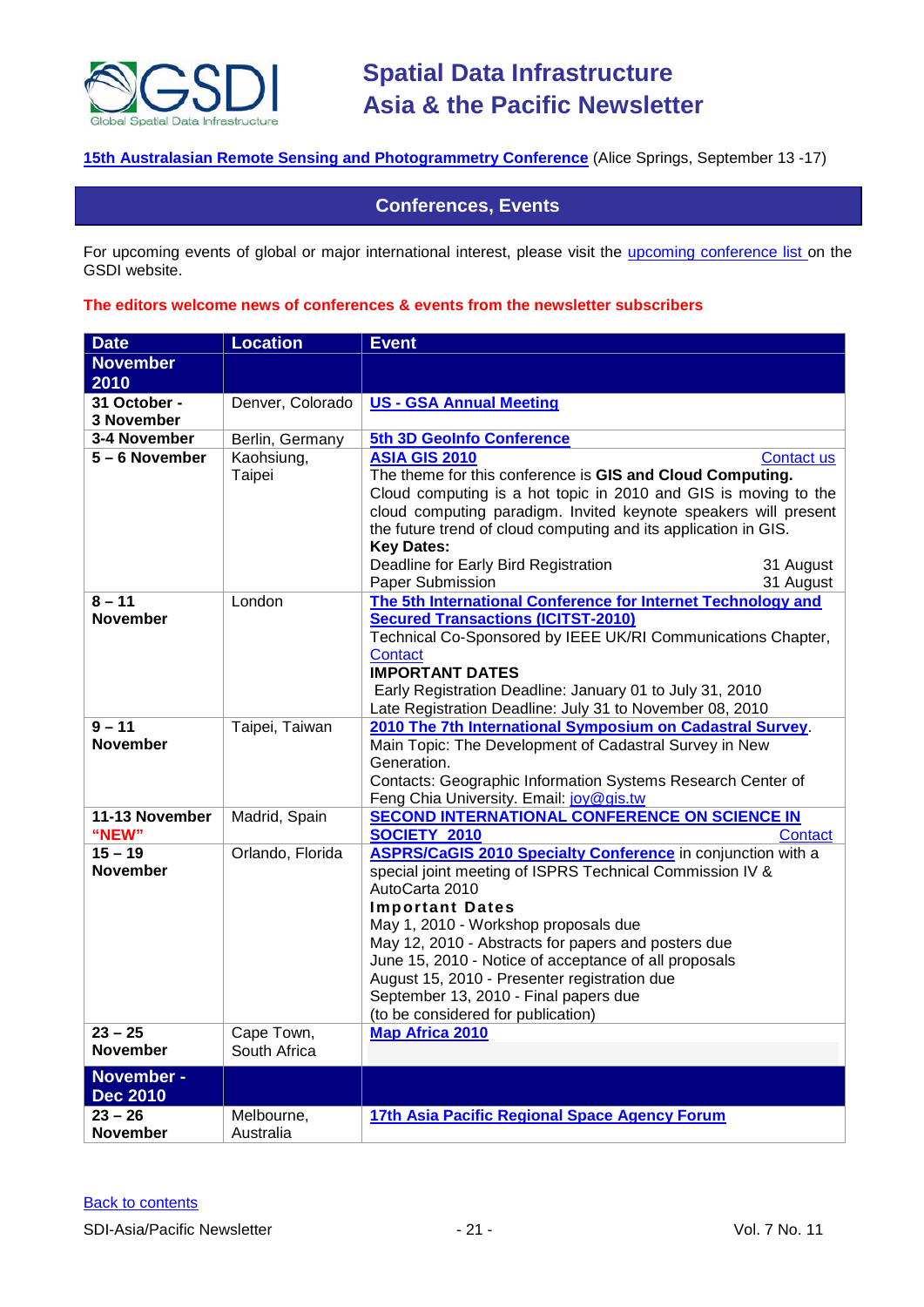

## <span id="page-20-0"></span>**[15th Australasian Remote Sensing and Photogrammetry Conference](http://www.15.arspc.com/proceedings)** (Alice Springs, September 13 -17)

## **Conferences, Events**

For upcoming events of global or major international interest, please visit the [upcoming conference list o](http://gsdi.org/events/upcnf.asp)n the GSDI website.

#### **The editors welcome news of conferences & events from the newsletter subscribers**

| <b>Date</b>                   | <b>Location</b>      | <b>Event</b>                                                                                                                                                                                                                                                                                                                                                                                                                                                      |
|-------------------------------|----------------------|-------------------------------------------------------------------------------------------------------------------------------------------------------------------------------------------------------------------------------------------------------------------------------------------------------------------------------------------------------------------------------------------------------------------------------------------------------------------|
| <b>November</b>               |                      |                                                                                                                                                                                                                                                                                                                                                                                                                                                                   |
| 2010                          |                      |                                                                                                                                                                                                                                                                                                                                                                                                                                                                   |
| 31 October -<br>3 November    | Denver, Colorado     | <b>US - GSA Annual Meeting</b>                                                                                                                                                                                                                                                                                                                                                                                                                                    |
| 3-4 November                  | Berlin, Germany      | 5th 3D GeoInfo Conference                                                                                                                                                                                                                                                                                                                                                                                                                                         |
| 5-6 November                  | Kaohsiung,<br>Taipei | <b>ASIA GIS 2010</b><br>Contact us<br>The theme for this conference is GIS and Cloud Computing.<br>Cloud computing is a hot topic in 2010 and GIS is moving to the<br>cloud computing paradigm. Invited keynote speakers will present<br>the future trend of cloud computing and its application in GIS.<br><b>Key Dates:</b><br>Deadline for Early Bird Registration<br>31 August                                                                                |
|                               |                      | Paper Submission<br>31 August                                                                                                                                                                                                                                                                                                                                                                                                                                     |
| $8 - 11$<br><b>November</b>   | London               | The 5th International Conference for Internet Technology and<br><b>Secured Transactions (ICITST-2010)</b><br>Technical Co-Sponsored by IEEE UK/RI Communications Chapter,<br><b>Contact</b><br><b>IMPORTANT DATES</b><br>Early Registration Deadline: January 01 to July 31, 2010<br>Late Registration Deadline: July 31 to November 08, 2010                                                                                                                     |
| $9 - 11$                      | Taipei, Taiwan       | 2010 The 7th International Symposium on Cadastral Survey.                                                                                                                                                                                                                                                                                                                                                                                                         |
| <b>November</b>               |                      | Main Topic: The Development of Cadastral Survey in New<br>Generation.<br>Contacts: Geographic Information Systems Research Center of<br>Feng Chia University. Email: joy@gis.tw                                                                                                                                                                                                                                                                                   |
| 11-13 November<br>"NEW"       | Madrid, Spain        | <b>SECOND INTERNATIONAL CONFERENCE ON SCIENCE IN</b><br>SOCIETY 2010<br>Contact                                                                                                                                                                                                                                                                                                                                                                                   |
| $15 - 19$<br><b>November</b>  | Orlando, Florida     | <b>ASPRS/CaGIS 2010 Specialty Conference</b> in conjunction with a<br>special joint meeting of ISPRS Technical Commission IV &<br>AutoCarta 2010<br><b>Important Dates</b><br>May 1, 2010 - Workshop proposals due<br>May 12, 2010 - Abstracts for papers and posters due<br>June 15, 2010 - Notice of acceptance of all proposals<br>August 15, 2010 - Presenter registration due<br>September 13, 2010 - Final papers due<br>(to be considered for publication) |
| $23 - 25$                     | Cape Town,           | <b>Map Africa 2010</b>                                                                                                                                                                                                                                                                                                                                                                                                                                            |
| <b>November</b>               | South Africa         |                                                                                                                                                                                                                                                                                                                                                                                                                                                                   |
| November -<br><b>Dec 2010</b> |                      |                                                                                                                                                                                                                                                                                                                                                                                                                                                                   |
| $23 - 26$                     | Melbourne,           | 17th Asia Pacific Regional Space Agency Forum                                                                                                                                                                                                                                                                                                                                                                                                                     |
| November                      | Australia            |                                                                                                                                                                                                                                                                                                                                                                                                                                                                   |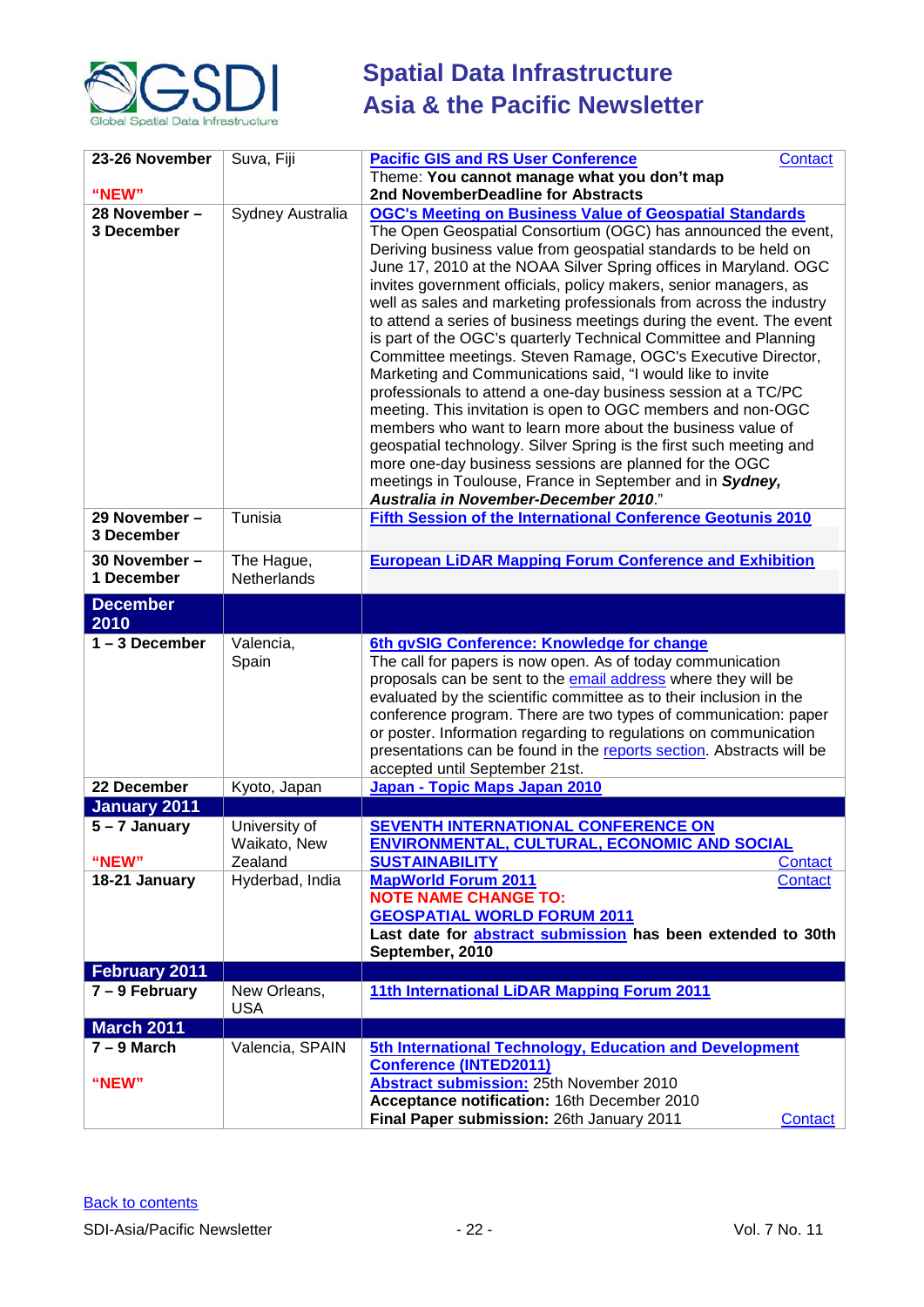

| 23-26 November              | Suva, Fiji                 | <b>Pacific GIS and RS User Conference</b><br>Contact                                                                                                                                                                                                                                                                                                                                                                                                                                                                                                                                               |
|-----------------------------|----------------------------|----------------------------------------------------------------------------------------------------------------------------------------------------------------------------------------------------------------------------------------------------------------------------------------------------------------------------------------------------------------------------------------------------------------------------------------------------------------------------------------------------------------------------------------------------------------------------------------------------|
|                             |                            | Theme: You cannot manage what you don't map                                                                                                                                                                                                                                                                                                                                                                                                                                                                                                                                                        |
| "NEW"                       |                            | 2nd NovemberDeadline for Abstracts                                                                                                                                                                                                                                                                                                                                                                                                                                                                                                                                                                 |
| 28 November -<br>3 December | Sydney Australia           | <b>OGC's Meeting on Business Value of Geospatial Standards</b><br>The Open Geospatial Consortium (OGC) has announced the event,<br>Deriving business value from geospatial standards to be held on                                                                                                                                                                                                                                                                                                                                                                                                 |
|                             |                            | June 17, 2010 at the NOAA Silver Spring offices in Maryland. OGC<br>invites government officials, policy makers, senior managers, as<br>well as sales and marketing professionals from across the industry                                                                                                                                                                                                                                                                                                                                                                                         |
|                             |                            | to attend a series of business meetings during the event. The event<br>is part of the OGC's quarterly Technical Committee and Planning<br>Committee meetings. Steven Ramage, OGC's Executive Director,<br>Marketing and Communications said, "I would like to invite<br>professionals to attend a one-day business session at a TC/PC<br>meeting. This invitation is open to OGC members and non-OGC<br>members who want to learn more about the business value of<br>geospatial technology. Silver Spring is the first such meeting and<br>more one-day business sessions are planned for the OGC |
|                             |                            | meetings in Toulouse, France in September and in Sydney,<br>Australia in November-December 2010."                                                                                                                                                                                                                                                                                                                                                                                                                                                                                                  |
| 29 November -<br>3 December | Tunisia                    | Fifth Session of the International Conference Geotunis 2010                                                                                                                                                                                                                                                                                                                                                                                                                                                                                                                                        |
| 30 November -<br>1 December | The Hague,<br>Netherlands  | <b>European LiDAR Mapping Forum Conference and Exhibition</b>                                                                                                                                                                                                                                                                                                                                                                                                                                                                                                                                      |
| <b>December</b>             |                            |                                                                                                                                                                                                                                                                                                                                                                                                                                                                                                                                                                                                    |
| 2010                        |                            |                                                                                                                                                                                                                                                                                                                                                                                                                                                                                                                                                                                                    |
| $1 - 3$ December            | Valencia,                  | 6th gvSIG Conference: Knowledge for change                                                                                                                                                                                                                                                                                                                                                                                                                                                                                                                                                         |
|                             | Spain                      | The call for papers is now open. As of today communication                                                                                                                                                                                                                                                                                                                                                                                                                                                                                                                                         |
|                             |                            | proposals can be sent to the email address where they will be<br>evaluated by the scientific committee as to their inclusion in the                                                                                                                                                                                                                                                                                                                                                                                                                                                                |
|                             |                            | conference program. There are two types of communication: paper                                                                                                                                                                                                                                                                                                                                                                                                                                                                                                                                    |
|                             |                            | or poster. Information regarding to regulations on communication                                                                                                                                                                                                                                                                                                                                                                                                                                                                                                                                   |
|                             |                            | presentations can be found in the reports section. Abstracts will be                                                                                                                                                                                                                                                                                                                                                                                                                                                                                                                               |
| 22 December                 | Kyoto, Japan               | accepted until September 21st.<br>Japan - Topic Maps Japan 2010                                                                                                                                                                                                                                                                                                                                                                                                                                                                                                                                    |
| <b>January 2011</b>         |                            |                                                                                                                                                                                                                                                                                                                                                                                                                                                                                                                                                                                                    |
| $5 - 7$ January             | University of              | <b>SEVENTH INTERNATIONAL CONFERENCE ON</b>                                                                                                                                                                                                                                                                                                                                                                                                                                                                                                                                                         |
|                             | Waikato, New               | <b>ENVIRONMENTAL, CULTURAL, ECONOMIC AND SOCIAL</b>                                                                                                                                                                                                                                                                                                                                                                                                                                                                                                                                                |
| "NEW"                       | Zealand                    | <b>SUSTAINABILITY</b><br>Contact                                                                                                                                                                                                                                                                                                                                                                                                                                                                                                                                                                   |
| 18-21 January               | Hyderbad, India            | <b>MapWorld Forum 2011</b><br>Contact<br><b>NOTE NAME CHANGE TO:</b>                                                                                                                                                                                                                                                                                                                                                                                                                                                                                                                               |
|                             |                            | <b>GEOSPATIAL WORLD FORUM 2011</b>                                                                                                                                                                                                                                                                                                                                                                                                                                                                                                                                                                 |
|                             |                            | Last date for abstract submission has been extended to 30th                                                                                                                                                                                                                                                                                                                                                                                                                                                                                                                                        |
|                             |                            | September, 2010                                                                                                                                                                                                                                                                                                                                                                                                                                                                                                                                                                                    |
| February 2011               |                            |                                                                                                                                                                                                                                                                                                                                                                                                                                                                                                                                                                                                    |
| $7 - 9$ February            | New Orleans,<br><b>USA</b> | 11th International LiDAR Mapping Forum 2011                                                                                                                                                                                                                                                                                                                                                                                                                                                                                                                                                        |
| <b>March 2011</b>           |                            |                                                                                                                                                                                                                                                                                                                                                                                                                                                                                                                                                                                                    |
| $7 - 9$ March               | Valencia, SPAIN            | 5th International Technology, Education and Development                                                                                                                                                                                                                                                                                                                                                                                                                                                                                                                                            |
| "NEW"                       |                            | <b>Conference (INTED2011)</b><br>Abstract submission: 25th November 2010                                                                                                                                                                                                                                                                                                                                                                                                                                                                                                                           |
|                             |                            | Acceptance notification: 16th December 2010                                                                                                                                                                                                                                                                                                                                                                                                                                                                                                                                                        |
|                             |                            | Final Paper submission: 26th January 2011<br>Contact                                                                                                                                                                                                                                                                                                                                                                                                                                                                                                                                               |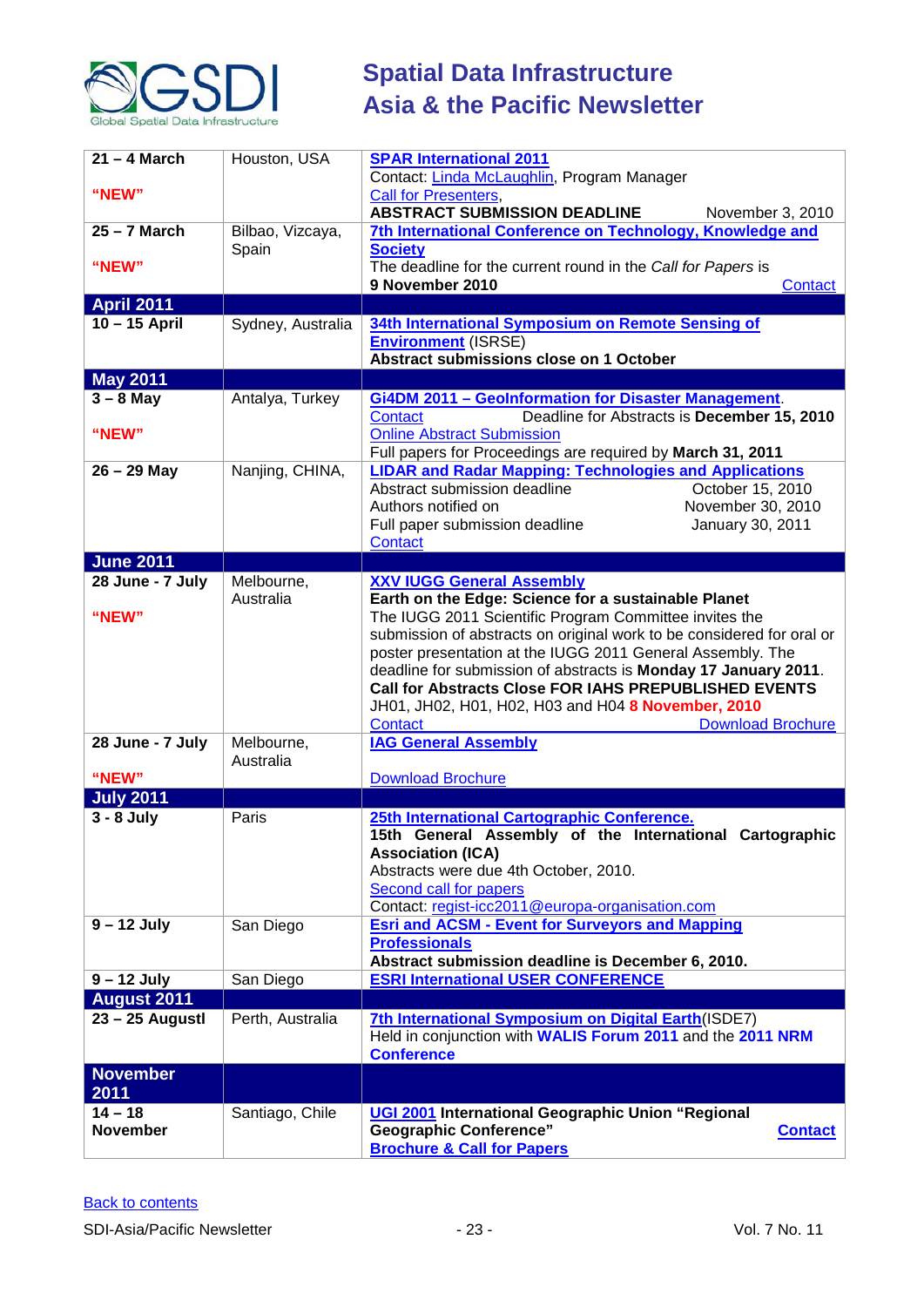

| $21 - 4$ March<br>"NEW"      | Houston, USA              | <b>SPAR International 2011</b><br>Contact: Linda McLaughlin, Program Manager<br><b>Call for Presenters,</b><br><b>ABSTRACT SUBMISSION DEADLINE</b><br>November 3, 2010                                                                                                                                                                                                                                                        |
|------------------------------|---------------------------|-------------------------------------------------------------------------------------------------------------------------------------------------------------------------------------------------------------------------------------------------------------------------------------------------------------------------------------------------------------------------------------------------------------------------------|
| $25 - 7$ March<br>"NEW"      | Bilbao, Vizcaya,<br>Spain | 7th International Conference on Technology, Knowledge and<br><b>Society</b><br>The deadline for the current round in the Call for Papers is<br>9 November 2010<br>Contact                                                                                                                                                                                                                                                     |
| <b>April 2011</b>            |                           |                                                                                                                                                                                                                                                                                                                                                                                                                               |
| $10 - 15$ April              | Sydney, Australia         | 34th International Symposium on Remote Sensing of<br><b>Environment</b> (ISRSE)<br>Abstract submissions close on 1 October                                                                                                                                                                                                                                                                                                    |
| <b>May 2011</b>              |                           |                                                                                                                                                                                                                                                                                                                                                                                                                               |
| $3 - 8$ May<br>"NEW"         | Antalya, Turkey           | <b>Gi4DM 2011 - Geolnformation for Disaster Management.</b><br>Contact<br>Deadline for Abstracts is December 15, 2010<br><b>Online Abstract Submission</b><br>Full papers for Proceedings are required by March 31, 2011                                                                                                                                                                                                      |
| $26 - 29$ May                | Nanjing, CHINA,           | <b>LIDAR and Radar Mapping: Technologies and Applications</b><br>Abstract submission deadline<br>October 15, 2010<br>Authors notified on<br>November 30, 2010<br>January 30, 2011<br>Full paper submission deadline<br>Contact                                                                                                                                                                                                |
| <b>June 2011</b>             |                           |                                                                                                                                                                                                                                                                                                                                                                                                                               |
| 28 June - 7 July             | Melbourne,<br>Australia   | <b>XXV IUGG General Assembly</b><br>Earth on the Edge: Science for a sustainable Planet                                                                                                                                                                                                                                                                                                                                       |
| "NEW"                        |                           | The IUGG 2011 Scientific Program Committee invites the<br>submission of abstracts on original work to be considered for oral or<br>poster presentation at the IUGG 2011 General Assembly. The<br>deadline for submission of abstracts is Monday 17 January 2011.<br><b>Call for Abstracts Close FOR IAHS PREPUBLISHED EVENTS</b><br>JH01, JH02, H01, H02, H03 and H04 8 November, 2010<br><b>Download Brochure</b><br>Contact |
| 28 June - 7 July             | Melbourne,<br>Australia   | <b>IAG General Assembly</b>                                                                                                                                                                                                                                                                                                                                                                                                   |
| "NEW"                        |                           | <b>Download Brochure</b>                                                                                                                                                                                                                                                                                                                                                                                                      |
| <b>July 2011</b>             |                           |                                                                                                                                                                                                                                                                                                                                                                                                                               |
| $3 - 8$ July                 | Paris                     | 25th International Cartographic Conference.<br>15th General Assembly of the International Cartographic<br><b>Association (ICA)</b><br>Abstracts were due 4th October, 2010.<br>Second call for papers<br>Contact: regist-icc2011@europa-organisation.com                                                                                                                                                                      |
| $9 - 12$ July                | San Diego                 | <b>Esri and ACSM - Event for Surveyors and Mapping</b><br><b>Professionals</b><br>Abstract submission deadline is December 6, 2010.                                                                                                                                                                                                                                                                                           |
| $9 - 12$ July                | San Diego                 | <b>ESRI International USER CONFERENCE</b>                                                                                                                                                                                                                                                                                                                                                                                     |
| <b>August 2011</b>           |                           |                                                                                                                                                                                                                                                                                                                                                                                                                               |
| 23 - 25 Augustl              | Perth, Australia          | 7th International Symposium on Digital Earth (ISDE7)<br>Held in conjunction with WALIS Forum 2011 and the 2011 NRM<br><b>Conference</b>                                                                                                                                                                                                                                                                                       |
| <b>November</b><br>2011      |                           |                                                                                                                                                                                                                                                                                                                                                                                                                               |
| $14 - 18$<br><b>November</b> | Santiago, Chile           | UGI 2001 International Geographic Union "Regional<br><b>Geographic Conference"</b><br><b>Contact</b><br><b>Brochure &amp; Call for Papers</b>                                                                                                                                                                                                                                                                                 |